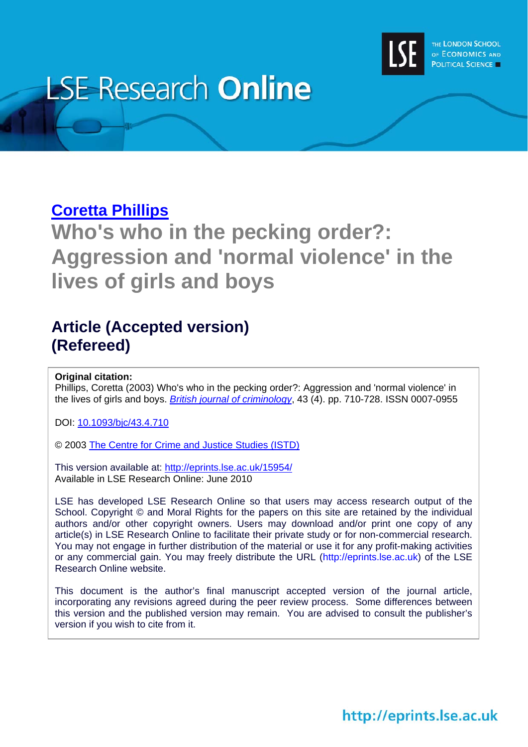

# **LSE Research Online**

## **[Coretta Phillips](http://www2.lse.ac.uk/researchAndExpertise/Experts/profile.aspx?KeyValue=coretta.phillips@lse.ac.uk)**

**Who's who in the pecking order?: Aggression and 'normal violence' in the lives of girls and boys** 

## **Article (Accepted version) (Refereed)**

### **Original citation:**

Phillips, Coretta (2003) Who's who in the pecking order?: Aggression and 'normal violence' in the lives of girls and boys. *[British journal of criminology](http://bjc.oxfordjournals.org/)*, 43 (4). pp. 710-728. ISSN 0007-0955

DOI: [10.1093/bjc/43.4.710](http://dx.doi.org/10.1093/bjc/43.4.710)

© 2003 [The Centre for Crime and Justice Studies \(ISTD\)](http://www.crimeandjustice.org.uk/)

This version available at: <http://eprints.lse.ac.uk/15954/> Available in LSE Research Online: June 2010

LSE has developed LSE Research Online so that users may access research output of the School. Copyright © and Moral Rights for the papers on this site are retained by the individual authors and/or other copyright owners. Users may download and/or print one copy of any article(s) in LSE Research Online to facilitate their private study or for non-commercial research. You may not engage in further distribution of the material or use it for any profit-making activities or any commercial gain. You may freely distribute the URL (http://eprints.lse.ac.uk) of the LSE Research Online website.

This document is the author's final manuscript accepted version of the journal article, incorporating any revisions agreed during the peer review process. Some differences between this version and the published version may remain. You are advised to consult the publisher's version if you wish to cite from it.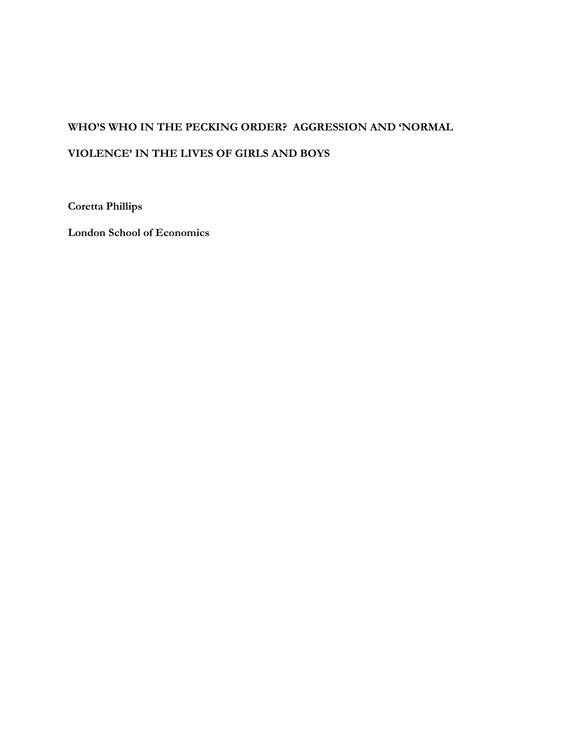## **WHO'S WHO IN THE PECKING ORDER? AGGRESSION AND 'NORMAL VIOLENCE' IN THE LIVES OF GIRLS AND BOYS**

**Coretta Phillips** 

**London School of Economics**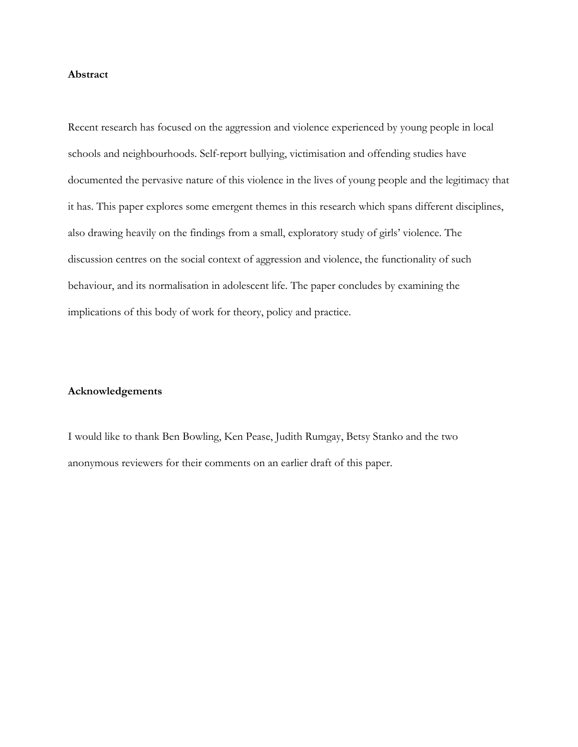#### **Abstract**

Recent research has focused on the aggression and violence experienced by young people in local schools and neighbourhoods. Self-report bullying, victimisation and offending studies have documented the pervasive nature of this violence in the lives of young people and the legitimacy that it has. This paper explores some emergent themes in this research which spans different disciplines, also drawing heavily on the findings from a small, exploratory study of girls' violence. The discussion centres on the social context of aggression and violence, the functionality of such behaviour, and its normalisation in adolescent life. The paper concludes by examining the implications of this body of work for theory, policy and practice.

#### **Acknowledgements**

I would like to thank Ben Bowling, Ken Pease, Judith Rumgay, Betsy Stanko and the two anonymous reviewers for their comments on an earlier draft of this paper.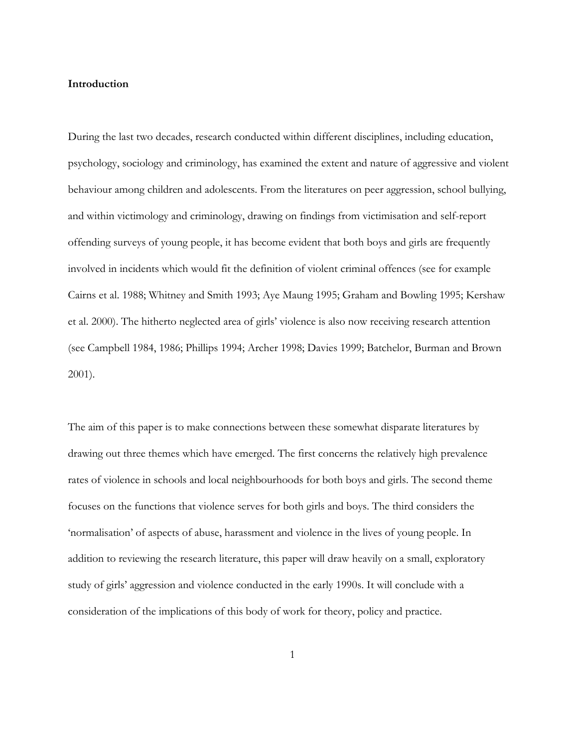#### **Introduction**

During the last two decades, research conducted within different disciplines, including education, psychology, sociology and criminology, has examined the extent and nature of aggressive and violent behaviour among children and adolescents. From the literatures on peer aggression, school bullying, and within victimology and criminology, drawing on findings from victimisation and self-report offending surveys of young people, it has become evident that both boys and girls are frequently involved in incidents which would fit the definition of violent criminal offences (see for example Cairns et al. 1988; Whitney and Smith 1993; Aye Maung 1995; Graham and Bowling 1995; Kershaw et al. 2000). The hitherto neglected area of girls' violence is also now receiving research attention (see Campbell 1984, 1986; Phillips 1994; Archer 1998; Davies 1999; Batchelor, Burman and Brown 2001).

The aim of this paper is to make connections between these somewhat disparate literatures by drawing out three themes which have emerged. The first concerns the relatively high prevalence rates of violence in schools and local neighbourhoods for both boys and girls. The second theme focuses on the functions that violence serves for both girls and boys. The third considers the 'normalisation' of aspects of abuse, harassment and violence in the lives of young people. In addition to reviewing the research literature, this paper will draw heavily on a small, exploratory study of girls' aggression and violence conducted in the early 1990s. It will conclude with a consideration of the implications of this body of work for theory, policy and practice.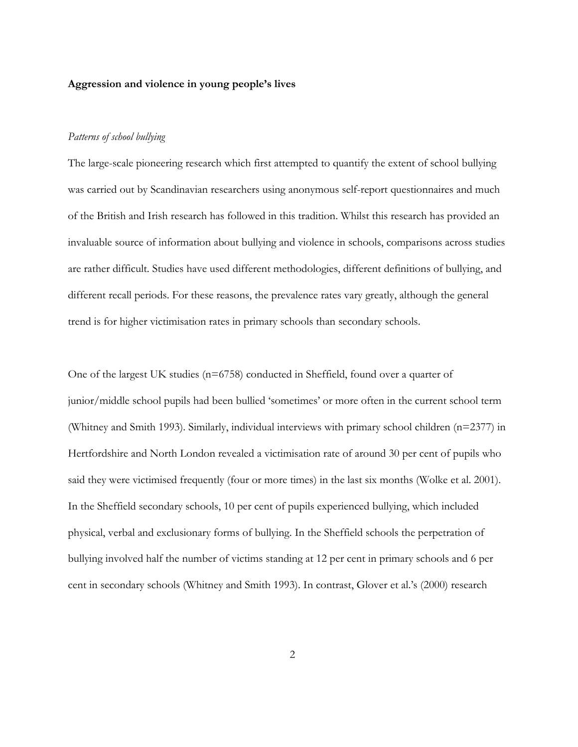#### **Aggression and violence in young people's lives**

#### *Patterns of school bullying*

The large-scale pioneering research which first attempted to quantify the extent of school bullying was carried out by Scandinavian researchers using anonymous self-report questionnaires and much of the British and Irish research has followed in this tradition. Whilst this research has provided an invaluable source of information about bullying and violence in schools, comparisons across studies are rather difficult. Studies have used different methodologies, different definitions of bullying, and different recall periods. For these reasons, the prevalence rates vary greatly, although the general trend is for higher victimisation rates in primary schools than secondary schools.

One of the largest UK studies (n=6758) conducted in Sheffield, found over a quarter of junior/middle school pupils had been bullied 'sometimes' or more often in the current school term (Whitney and Smith 1993). Similarly, individual interviews with primary school children (n=2377) in Hertfordshire and North London revealed a victimisation rate of around 30 per cent of pupils who said they were victimised frequently (four or more times) in the last six months (Wolke et al. 2001). In the Sheffield secondary schools, 10 per cent of pupils experienced bullying, which included physical, verbal and exclusionary forms of bullying. In the Sheffield schools the perpetration of bullying involved half the number of victims standing at 12 per cent in primary schools and 6 per cent in secondary schools (Whitney and Smith 1993). In contrast, Glover et al.'s (2000) research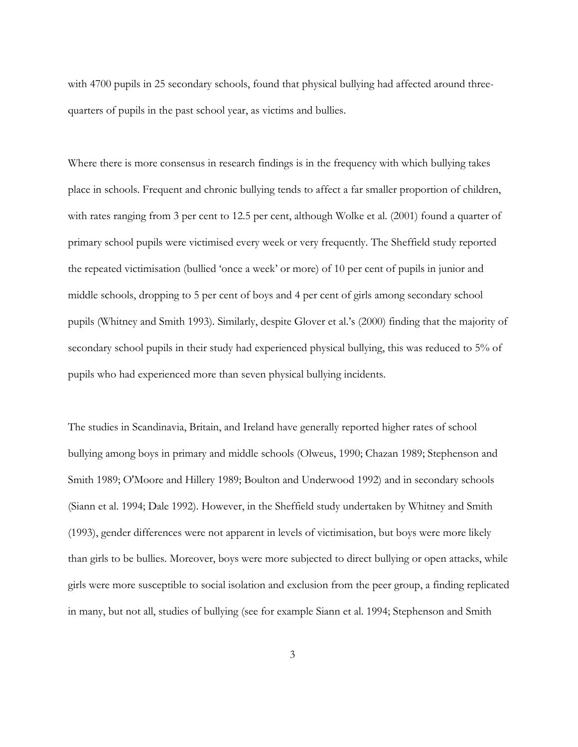with 4700 pupils in 25 secondary schools, found that physical bullying had affected around threequarters of pupils in the past school year, as victims and bullies.

Where there is more consensus in research findings is in the frequency with which bullying takes place in schools. Frequent and chronic bullying tends to affect a far smaller proportion of children, with rates ranging from 3 per cent to 12.5 per cent, although Wolke et al. (2001) found a quarter of primary school pupils were victimised every week or very frequently. The Sheffield study reported the repeated victimisation (bullied 'once a week' or more) of 10 per cent of pupils in junior and middle schools, dropping to 5 per cent of boys and 4 per cent of girls among secondary school pupils (Whitney and Smith 1993). Similarly, despite Glover et al.'s (2000) finding that the majority of secondary school pupils in their study had experienced physical bullying, this was reduced to 5% of pupils who had experienced more than seven physical bullying incidents.

The studies in Scandinavia, Britain, and Ireland have generally reported higher rates of school bullying among boys in primary and middle schools (Olweus, 1990; Chazan 1989; Stephenson and Smith 1989; O'Moore and Hillery 1989; Boulton and Underwood 1992) and in secondary schools (Siann et al. 1994; Dale 1992). However, in the Sheffield study undertaken by Whitney and Smith (1993), gender differences were not apparent in levels of victimisation, but boys were more likely than girls to be bullies. Moreover, boys were more subjected to direct bullying or open attacks, while girls were more susceptible to social isolation and exclusion from the peer group, a finding replicated in many, but not all, studies of bullying (see for example Siann et al. 1994; Stephenson and Smith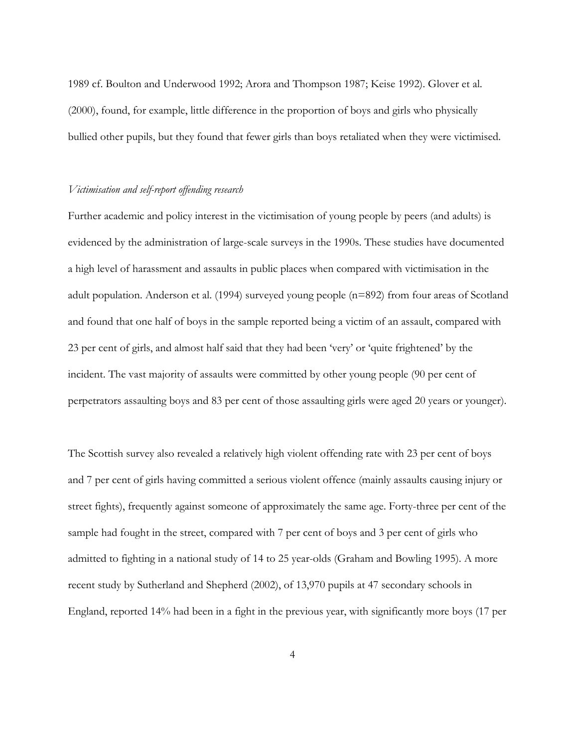1989 cf. Boulton and Underwood 1992; Arora and Thompson 1987; Keise 1992). Glover et al. (2000), found, for example, little difference in the proportion of boys and girls who physically bullied other pupils, but they found that fewer girls than boys retaliated when they were victimised.

#### *Victimisation and self-report offending research*

Further academic and policy interest in the victimisation of young people by peers (and adults) is evidenced by the administration of large-scale surveys in the 1990s. These studies have documented a high level of harassment and assaults in public places when compared with victimisation in the adult population. Anderson et al. (1994) surveyed young people (n=892) from four areas of Scotland and found that one half of boys in the sample reported being a victim of an assault, compared with 23 per cent of girls, and almost half said that they had been 'very' or 'quite frightened' by the incident. The vast majority of assaults were committed by other young people (90 per cent of perpetrators assaulting boys and 83 per cent of those assaulting girls were aged 20 years or younger).

The Scottish survey also revealed a relatively high violent offending rate with 23 per cent of boys and 7 per cent of girls having committed a serious violent offence (mainly assaults causing injury or street fights), frequently against someone of approximately the same age. Forty-three per cent of the sample had fought in the street, compared with 7 per cent of boys and 3 per cent of girls who admitted to fighting in a national study of 14 to 25 year-olds (Graham and Bowling 1995). A more recent study by Sutherland and Shepherd (2002), of 13,970 pupils at 47 secondary schools in England, reported 14% had been in a fight in the previous year, with significantly more boys (17 per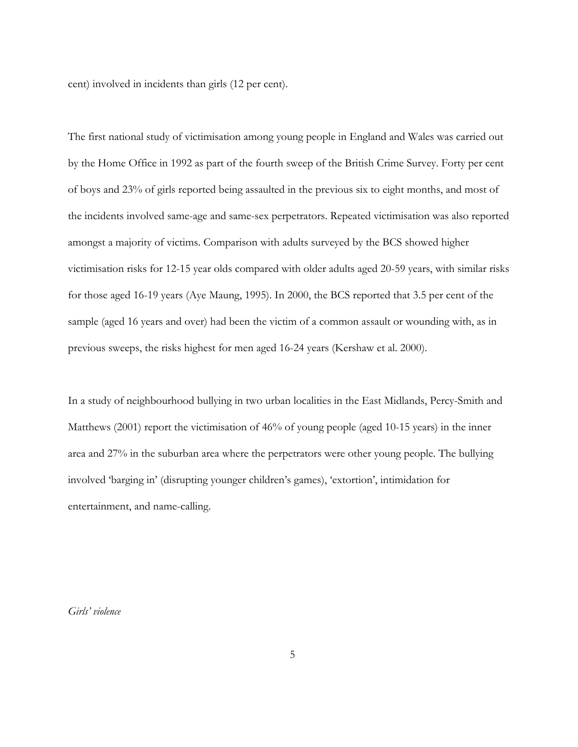cent) involved in incidents than girls (12 per cent).

The first national study of victimisation among young people in England and Wales was carried out by the Home Office in 1992 as part of the fourth sweep of the British Crime Survey. Forty per cent of boys and 23% of girls reported being assaulted in the previous six to eight months, and most of the incidents involved same-age and same-sex perpetrators. Repeated victimisation was also reported amongst a majority of victims. Comparison with adults surveyed by the BCS showed higher victimisation risks for 12-15 year olds compared with older adults aged 20-59 years, with similar risks for those aged 16-19 years (Aye Maung, 1995). In 2000, the BCS reported that 3.5 per cent of the sample (aged 16 years and over) had been the victim of a common assault or wounding with, as in previous sweeps, the risks highest for men aged 16-24 years (Kershaw et al. 2000).

In a study of neighbourhood bullying in two urban localities in the East Midlands, Percy-Smith and Matthews (2001) report the victimisation of 46% of young people (aged 10-15 years) in the inner area and 27% in the suburban area where the perpetrators were other young people. The bullying involved 'barging in' (disrupting younger children's games), 'extortion', intimidation for entertainment, and name-calling.

*Girls' violence*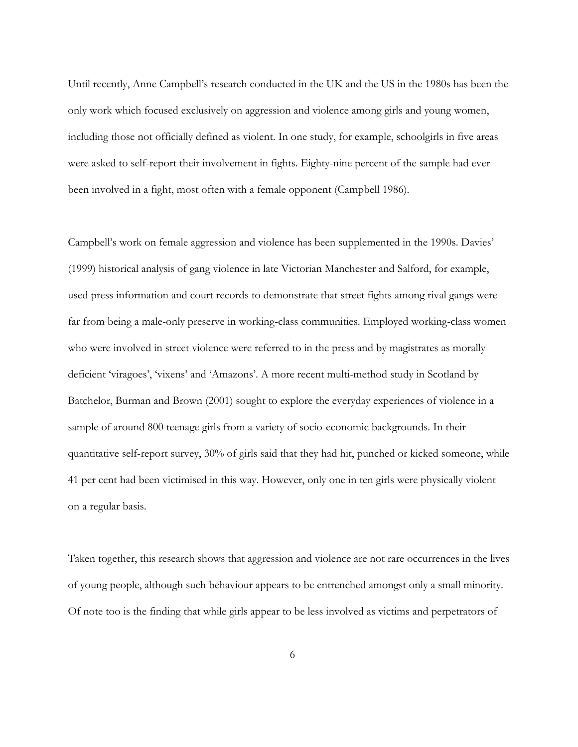Until recently, Anne Campbell's research conducted in the UK and the US in the 1980s has been the only work which focused exclusively on aggression and violence among girls and young women, including those not officially defined as violent. In one study, for example, schoolgirls in five areas were asked to self-report their involvement in fights. Eighty-nine percent of the sample had ever been involved in a fight, most often with a female opponent (Campbell 1986).

Campbell's work on female aggression and violence has been supplemented in the 1990s. Davies' (1999) historical analysis of gang violence in late Victorian Manchester and Salford, for example, used press information and court records to demonstrate that street fights among rival gangs were far from being a male-only preserve in working-class communities. Employed working-class women who were involved in street violence were referred to in the press and by magistrates as morally deficient 'viragoes', 'vixens' and 'Amazons'. A more recent multi-method study in Scotland by Batchelor, Burman and Brown (2001) sought to explore the everyday experiences of violence in a sample of around 800 teenage girls from a variety of socio-economic backgrounds. In their quantitative self-report survey, 30% of girls said that they had hit, punched or kicked someone, while 41 per cent had been victimised in this way. However, only one in ten girls were physically violent on a regular basis.

Taken together, this research shows that aggression and violence are not rare occurrences in the lives of young people, although such behaviour appears to be entrenched amongst only a small minority. Of note too is the finding that while girls appear to be less involved as victims and perpetrators of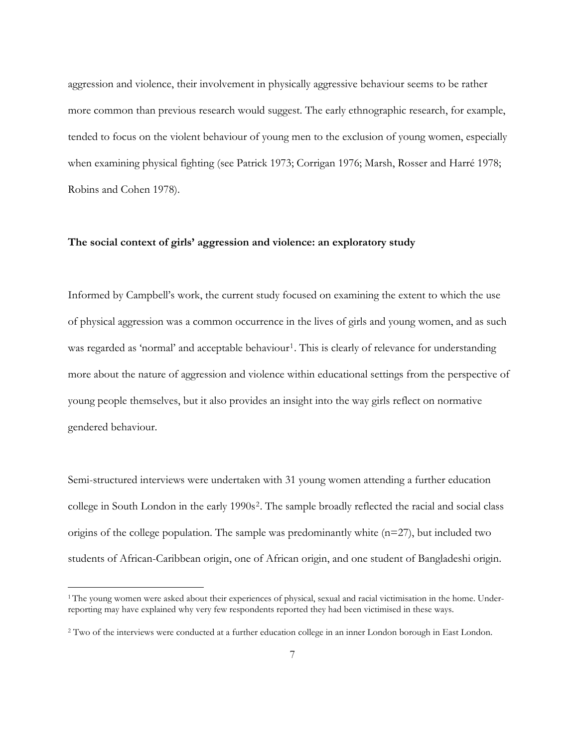aggression and violence, their involvement in physically aggressive behaviour seems to be rather more common than previous research would suggest. The early ethnographic research, for example, tended to focus on the violent behaviour of young men to the exclusion of young women, especially when examining physical fighting (see Patrick 1973; Corrigan 1976; Marsh, Rosser and Harré 1978; Robins and Cohen 1978).

#### **The social context of girls' aggression and violence: an exploratory study**

Informed by Campbell's work, the current study focused on examining the extent to which the use of physical aggression was a common occurrence in the lives of girls and young women, and as such was regarded as 'normal' and acceptable behaviour<sup>[1](#page-9-0)</sup>. This is clearly of relevance for understanding more about the nature of aggression and violence within educational settings from the perspective of young people themselves, but it also provides an insight into the way girls reflect on normative gendered behaviour.

Semi-structured interviews were undertaken with 31 young women attending a further education college in South London in the early 1990s<sup>[2](#page-9-1)</sup>. The sample broadly reflected the racial and social class origins of the college population. The sample was predominantly white  $(n=27)$ , but included two students of African-Caribbean origin, one of African origin, and one student of Bangladeshi origin.

<span id="page-9-0"></span><sup>&</sup>lt;sup>1</sup> The young women were asked about their experiences of physical, sexual and racial victimisation in the home. Underreporting may have explained why very few respondents reported they had been victimised in these ways.

<span id="page-9-1"></span><sup>2</sup> Two of the interviews were conducted at a further education college in an inner London borough in East London.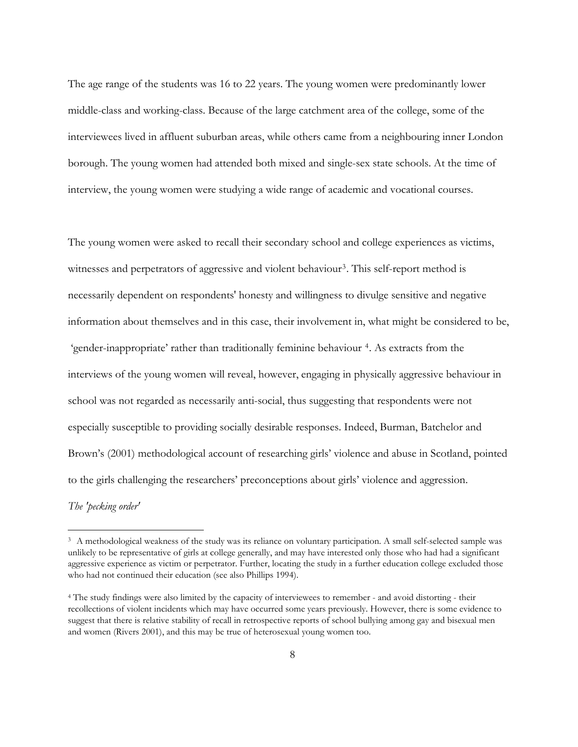The age range of the students was 16 to 22 years. The young women were predominantly lower middle-class and working-class. Because of the large catchment area of the college, some of the interviewees lived in affluent suburban areas, while others came from a neighbouring inner London borough. The young women had attended both mixed and single-sex state schools. At the time of interview, the young women were studying a wide range of academic and vocational courses.

The young women were asked to recall their secondary school and college experiences as victims, witnesses and perpetrators of aggressive and violent behaviour<sup>[3](#page-10-0)</sup>. This self-report method is necessarily dependent on respondents' honesty and willingness to divulge sensitive and negative information about themselves and in this case, their involvement in, what might be considered to be, 'gender-inappropriate' rather than traditionally feminine behaviour [4](#page-10-1). As extracts from the interviews of the young women will reveal, however, engaging in physically aggressive behaviour in school was not regarded as necessarily anti-social, thus suggesting that respondents were not especially susceptible to providing socially desirable responses. Indeed, Burman, Batchelor and Brown's (2001) methodological account of researching girls' violence and abuse in Scotland, pointed to the girls challenging the researchers' preconceptions about girls' violence and aggression.

*The 'pecking order'* 

<span id="page-10-0"></span><sup>&</sup>lt;sup>3</sup> A methodological weakness of the study was its reliance on voluntary participation. A small self-selected sample was unlikely to be representative of girls at college generally, and may have interested only those who had had a significant aggressive experience as victim or perpetrator. Further, locating the study in a further education college excluded those who had not continued their education (see also Phillips 1994).

<span id="page-10-1"></span><sup>4</sup> The study findings were also limited by the capacity of interviewees to remember - and avoid distorting - their recollections of violent incidents which may have occurred some years previously. However, there is some evidence to suggest that there is relative stability of recall in retrospective reports of school bullying among gay and bisexual men and women (Rivers 2001), and this may be true of heterosexual young women too.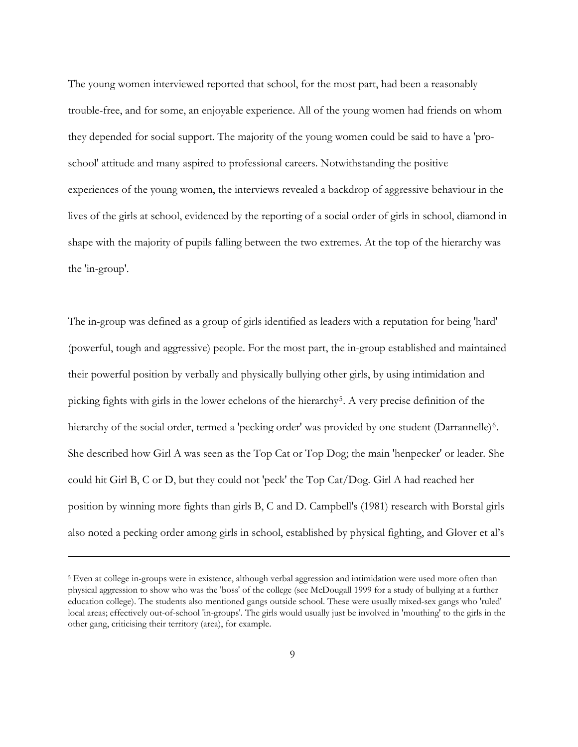The young women interviewed reported that school, for the most part, had been a reasonably trouble-free, and for some, an enjoyable experience. All of the young women had friends on whom they depended for social support. The majority of the young women could be said to have a 'proschool' attitude and many aspired to professional careers. Notwithstanding the positive experiences of the young women, the interviews revealed a backdrop of aggressive behaviour in the lives of the girls at school, evidenced by the reporting of a social order of girls in school, diamond in shape with the majority of pupils falling between the two extremes. At the top of the hierarchy was the 'in-group'.

The in-group was defined as a group of girls identified as leaders with a reputation for being 'hard' (powerful, tough and aggressive) people. For the most part, the in-group established and maintained their powerful position by verbally and physically bullying other girls, by using intimidation and picking fights with girls in the lower echelons of the hierarchy<sup>[5](#page-11-0)</sup>. A very precise definition of the hierarchy of the social order, termed a 'pecking order' was provided by one student (Darrannelle)<sup>[6](#page-11-1)</sup>. She described how Girl A was seen as the Top Cat or Top Dog; the main 'henpecker' or leader. She could hit Girl B, C or D, but they could not 'peck' the Top Cat/Dog. Girl A had reached her position by winning more fights than girls B, C and D. Campbell's (1981) research with Borstal girls also noted a pecking order among girls in school, established by physical fighting, and Glover et al's

<span id="page-11-1"></span><span id="page-11-0"></span><sup>5</sup> Even at college in-groups were in existence, although verbal aggression and intimidation were used more often than physical aggression to show who was the 'boss' of the college (see McDougall 1999 for a study of bullying at a further education college). The students also mentioned gangs outside school. These were usually mixed-sex gangs who 'ruled' local areas; effectively out-of-school 'in-groups'. The girls would usually just be involved in 'mouthing' to the girls in the other gang, criticising their territory (area), for example.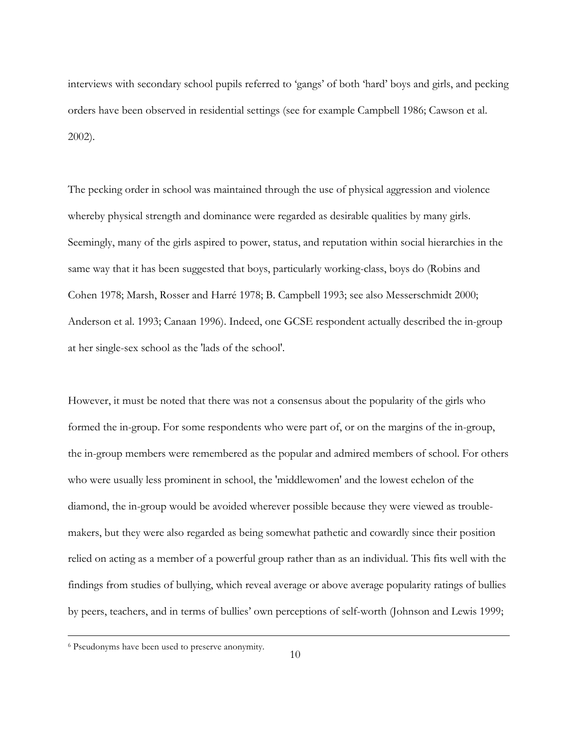interviews with secondary school pupils referred to 'gangs' of both 'hard' boys and girls, and pecking orders have been observed in residential settings (see for example Campbell 1986; Cawson et al. 2002).

The pecking order in school was maintained through the use of physical aggression and violence whereby physical strength and dominance were regarded as desirable qualities by many girls. Seemingly, many of the girls aspired to power, status, and reputation within social hierarchies in the same way that it has been suggested that boys, particularly working-class, boys do (Robins and Cohen 1978; Marsh, Rosser and Harré 1978; B. Campbell 1993; see also Messerschmidt 2000; Anderson et al. 1993; Canaan 1996). Indeed, one GCSE respondent actually described the in-group at her single-sex school as the 'lads of the school'.

However, it must be noted that there was not a consensus about the popularity of the girls who formed the in-group. For some respondents who were part of, or on the margins of the in-group, the in-group members were remembered as the popular and admired members of school. For others who were usually less prominent in school, the 'middlewomen' and the lowest echelon of the diamond, the in-group would be avoided wherever possible because they were viewed as troublemakers, but they were also regarded as being somewhat pathetic and cowardly since their position relied on acting as a member of a powerful group rather than as an individual. This fits well with the findings from studies of bullying, which reveal average or above average popularity ratings of bullies by peers, teachers, and in terms of bullies' own perceptions of self-worth (Johnson and Lewis 1999;

i<br>L

<sup>6</sup> Pseudonyms have been used to preserve anonymity.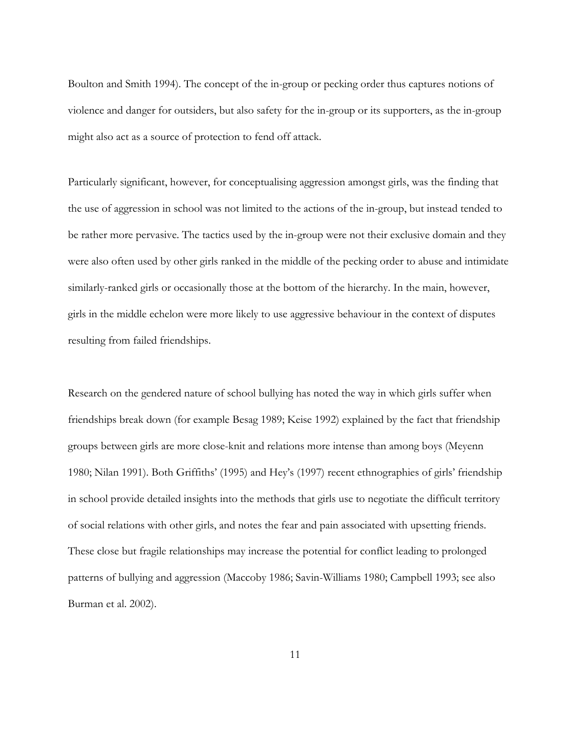Boulton and Smith 1994). The concept of the in-group or pecking order thus captures notions of violence and danger for outsiders, but also safety for the in-group or its supporters, as the in-group might also act as a source of protection to fend off attack.

Particularly significant, however, for conceptualising aggression amongst girls, was the finding that the use of aggression in school was not limited to the actions of the in-group, but instead tended to be rather more pervasive. The tactics used by the in-group were not their exclusive domain and they were also often used by other girls ranked in the middle of the pecking order to abuse and intimidate similarly-ranked girls or occasionally those at the bottom of the hierarchy. In the main, however, girls in the middle echelon were more likely to use aggressive behaviour in the context of disputes resulting from failed friendships.

Research on the gendered nature of school bullying has noted the way in which girls suffer when friendships break down (for example Besag 1989; Keise 1992) explained by the fact that friendship groups between girls are more close-knit and relations more intense than among boys (Meyenn 1980; Nilan 1991). Both Griffiths' (1995) and Hey's (1997) recent ethnographies of girls' friendship in school provide detailed insights into the methods that girls use to negotiate the difficult territory of social relations with other girls, and notes the fear and pain associated with upsetting friends. These close but fragile relationships may increase the potential for conflict leading to prolonged patterns of bullying and aggression (Maccoby 1986; Savin-Williams 1980; Campbell 1993; see also Burman et al. 2002).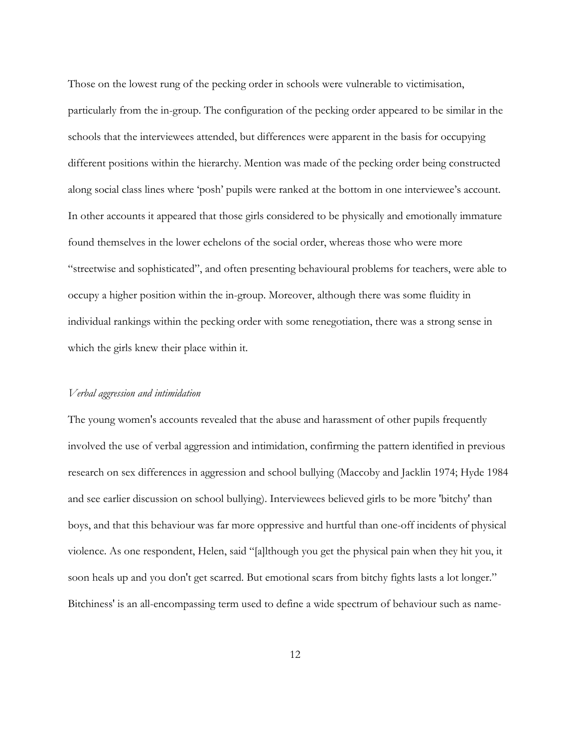Those on the lowest rung of the pecking order in schools were vulnerable to victimisation, particularly from the in-group. The configuration of the pecking order appeared to be similar in the schools that the interviewees attended, but differences were apparent in the basis for occupying different positions within the hierarchy. Mention was made of the pecking order being constructed along social class lines where 'posh' pupils were ranked at the bottom in one interviewee's account. In other accounts it appeared that those girls considered to be physically and emotionally immature found themselves in the lower echelons of the social order, whereas those who were more "streetwise and sophisticated", and often presenting behavioural problems for teachers, were able to occupy a higher position within the in-group. Moreover, although there was some fluidity in individual rankings within the pecking order with some renegotiation, there was a strong sense in which the girls knew their place within it.

#### *Verbal aggression and intimidation*

The young women's accounts revealed that the abuse and harassment of other pupils frequently involved the use of verbal aggression and intimidation, confirming the pattern identified in previous research on sex differences in aggression and school bullying (Maccoby and Jacklin 1974; Hyde 1984 and see earlier discussion on school bullying). Interviewees believed girls to be more 'bitchy' than boys, and that this behaviour was far more oppressive and hurtful than one-off incidents of physical violence. As one respondent, Helen, said "[a]lthough you get the physical pain when they hit you, it soon heals up and you don't get scarred. But emotional scars from bitchy fights lasts a lot longer." Bitchiness' is an all-encompassing term used to define a wide spectrum of behaviour such as name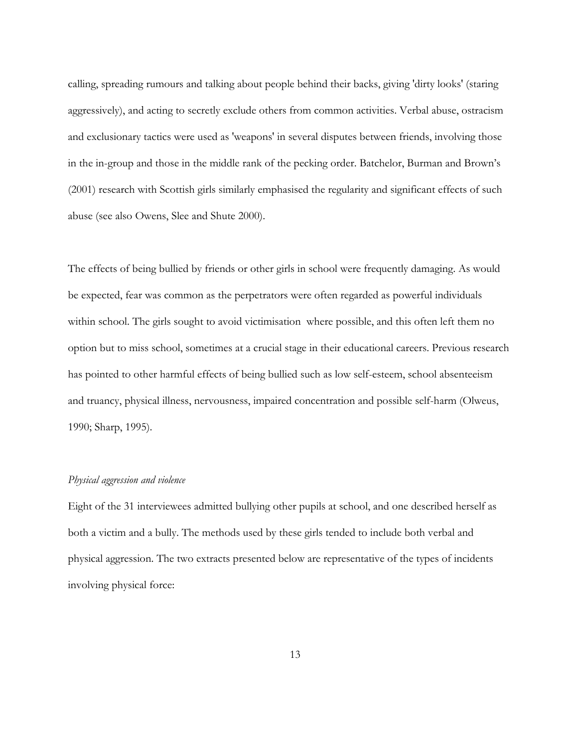calling, spreading rumours and talking about people behind their backs, giving 'dirty looks' (staring aggressively), and acting to secretly exclude others from common activities. Verbal abuse, ostracism and exclusionary tactics were used as 'weapons' in several disputes between friends, involving those in the in-group and those in the middle rank of the pecking order. Batchelor, Burman and Brown's (2001) research with Scottish girls similarly emphasised the regularity and significant effects of such abuse (see also Owens, Slee and Shute 2000).

The effects of being bullied by friends or other girls in school were frequently damaging. As would be expected, fear was common as the perpetrators were often regarded as powerful individuals within school. The girls sought to avoid victimisation where possible, and this often left them no option but to miss school, sometimes at a crucial stage in their educational careers. Previous research has pointed to other harmful effects of being bullied such as low self-esteem, school absenteeism and truancy, physical illness, nervousness, impaired concentration and possible self-harm (Olweus, 1990; Sharp, 1995).

#### *Physical aggression and violence*

Eight of the 31 interviewees admitted bullying other pupils at school, and one described herself as both a victim and a bully. The methods used by these girls tended to include both verbal and physical aggression. The two extracts presented below are representative of the types of incidents involving physical force: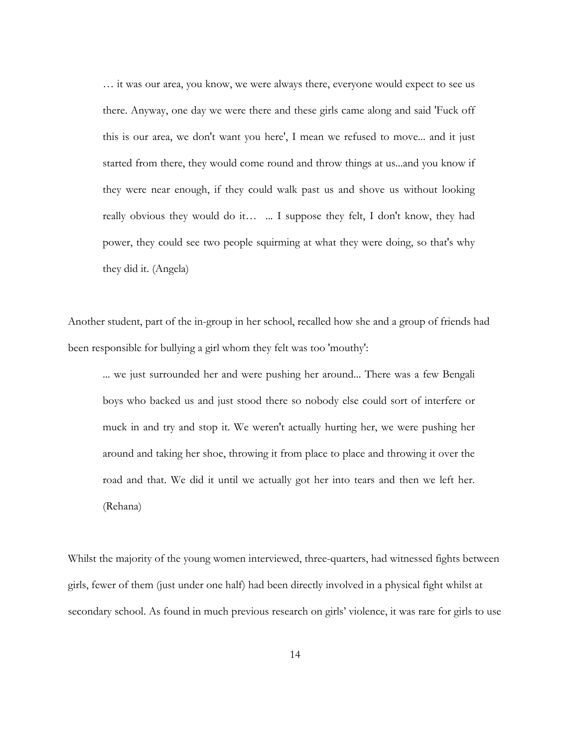… it was our area, you know, we were always there, everyone would expect to see us there. Anyway, one day we were there and these girls came along and said 'Fuck off this is our area, we don't want you here', I mean we refused to move... and it just started from there, they would come round and throw things at us...and you know if they were near enough, if they could walk past us and shove us without looking really obvious they would do it… ... I suppose they felt, I don't know, they had power, they could see two people squirming at what they were doing, so that's why they did it. (Angela)

Another student, part of the in-group in her school, recalled how she and a group of friends had been responsible for bullying a girl whom they felt was too 'mouthy':

... we just surrounded her and were pushing her around... There was a few Bengali boys who backed us and just stood there so nobody else could sort of interfere or muck in and try and stop it. We weren't actually hurting her, we were pushing her around and taking her shoe, throwing it from place to place and throwing it over the road and that. We did it until we actually got her into tears and then we left her. (Rehana)

Whilst the majority of the young women interviewed, three-quarters, had witnessed fights between girls, fewer of them (just under one half) had been directly involved in a physical fight whilst at secondary school. As found in much previous research on girls' violence, it was rare for girls to use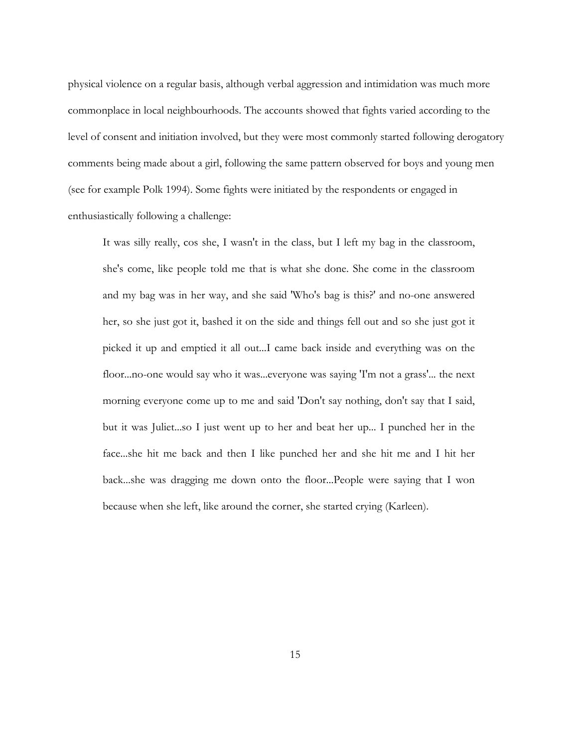physical violence on a regular basis, although verbal aggression and intimidation was much more commonplace in local neighbourhoods. The accounts showed that fights varied according to the level of consent and initiation involved, but they were most commonly started following derogatory comments being made about a girl, following the same pattern observed for boys and young men (see for example Polk 1994). Some fights were initiated by the respondents or engaged in enthusiastically following a challenge:

It was silly really, cos she, I wasn't in the class, but I left my bag in the classroom, she's come, like people told me that is what she done. She come in the classroom and my bag was in her way, and she said 'Who's bag is this?' and no-one answered her, so she just got it, bashed it on the side and things fell out and so she just got it picked it up and emptied it all out...I came back inside and everything was on the floor...no-one would say who it was...everyone was saying 'I'm not a grass'... the next morning everyone come up to me and said 'Don't say nothing, don't say that I said, but it was Juliet...so I just went up to her and beat her up... I punched her in the face...she hit me back and then I like punched her and she hit me and I hit her back...she was dragging me down onto the floor...People were saying that I won because when she left, like around the corner, she started crying (Karleen).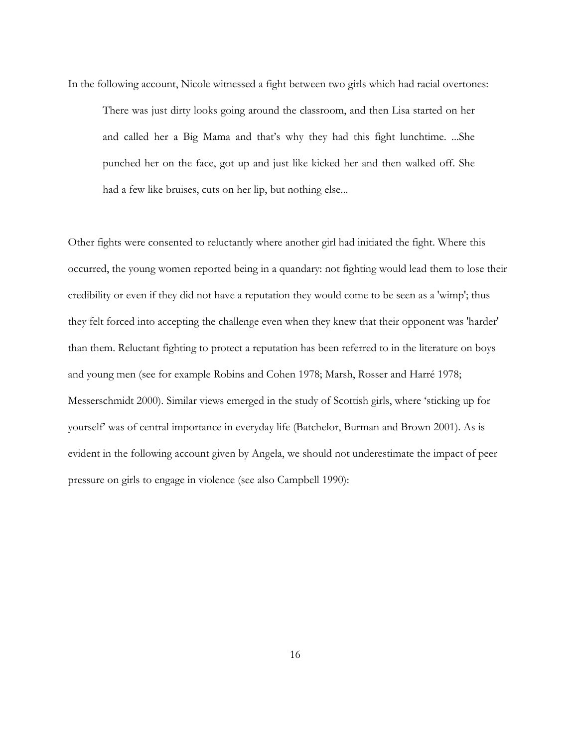In the following account, Nicole witnessed a fight between two girls which had racial overtones: There was just dirty looks going around the classroom, and then Lisa started on her and called her a Big Mama and that's why they had this fight lunchtime. ...She punched her on the face, got up and just like kicked her and then walked off. She had a few like bruises, cuts on her lip, but nothing else...

Other fights were consented to reluctantly where another girl had initiated the fight. Where this occurred, the young women reported being in a quandary: not fighting would lead them to lose their credibility or even if they did not have a reputation they would come to be seen as a 'wimp'; thus they felt forced into accepting the challenge even when they knew that their opponent was 'harder' than them. Reluctant fighting to protect a reputation has been referred to in the literature on boys and young men (see for example Robins and Cohen 1978; Marsh, Rosser and Harré 1978; Messerschmidt 2000). Similar views emerged in the study of Scottish girls, where 'sticking up for yourself' was of central importance in everyday life (Batchelor, Burman and Brown 2001). As is evident in the following account given by Angela, we should not underestimate the impact of peer pressure on girls to engage in violence (see also Campbell 1990):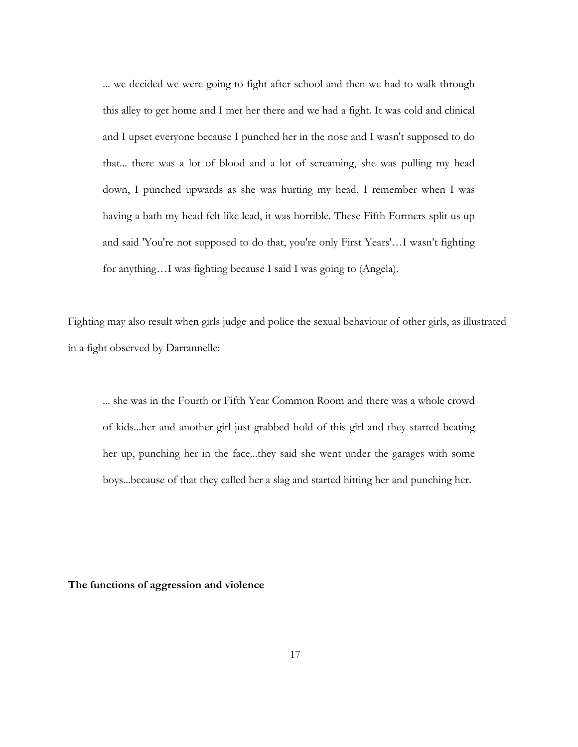... we decided we were going to fight after school and then we had to walk through this alley to get home and I met her there and we had a fight. It was cold and clinical and I upset everyone because I punched her in the nose and I wasn't supposed to do that... there was a lot of blood and a lot of screaming, she was pulling my head down, I punched upwards as she was hurting my head. I remember when I was having a bath my head felt like lead, it was horrible. These Fifth Formers split us up and said 'You're not supposed to do that, you're only First Years'…I wasn't fighting for anything…I was fighting because I said I was going to (Angela).

Fighting may also result when girls judge and police the sexual behaviour of other girls, as illustrated in a fight observed by Darrannelle:

... she was in the Fourth or Fifth Year Common Room and there was a whole crowd of kids...her and another girl just grabbed hold of this girl and they started beating her up, punching her in the face...they said she went under the garages with some boys...because of that they called her a slag and started hitting her and punching her.

**The functions of aggression and violence**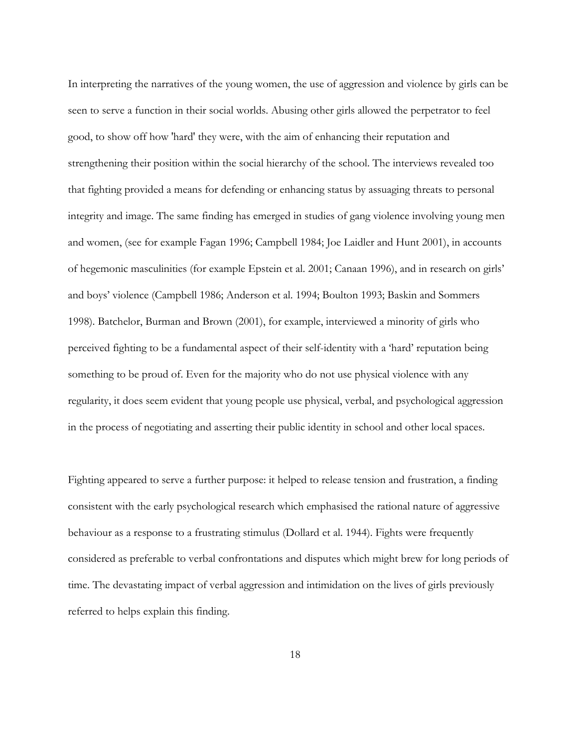In interpreting the narratives of the young women, the use of aggression and violence by girls can be seen to serve a function in their social worlds. Abusing other girls allowed the perpetrator to feel good, to show off how 'hard' they were, with the aim of enhancing their reputation and strengthening their position within the social hierarchy of the school. The interviews revealed too that fighting provided a means for defending or enhancing status by assuaging threats to personal integrity and image. The same finding has emerged in studies of gang violence involving young men and women, (see for example Fagan 1996; Campbell 1984; Joe Laidler and Hunt 2001), in accounts of hegemonic masculinities (for example Epstein et al. 2001; Canaan 1996), and in research on girls' and boys' violence (Campbell 1986; Anderson et al. 1994; Boulton 1993; Baskin and Sommers 1998). Batchelor, Burman and Brown (2001), for example, interviewed a minority of girls who perceived fighting to be a fundamental aspect of their self-identity with a 'hard' reputation being something to be proud of. Even for the majority who do not use physical violence with any regularity, it does seem evident that young people use physical, verbal, and psychological aggression in the process of negotiating and asserting their public identity in school and other local spaces.

Fighting appeared to serve a further purpose: it helped to release tension and frustration, a finding consistent with the early psychological research which emphasised the rational nature of aggressive behaviour as a response to a frustrating stimulus (Dollard et al. 1944). Fights were frequently considered as preferable to verbal confrontations and disputes which might brew for long periods of time. The devastating impact of verbal aggression and intimidation on the lives of girls previously referred to helps explain this finding.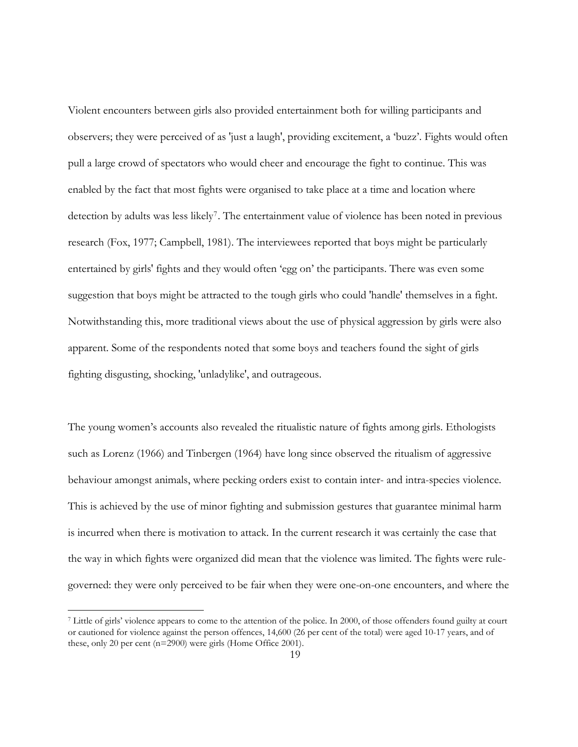Violent encounters between girls also provided entertainment both for willing participants and observers; they were perceived of as 'just a laugh', providing excitement, a 'buzz'. Fights would often pull a large crowd of spectators who would cheer and encourage the fight to continue. This was enabled by the fact that most fights were organised to take place at a time and location where detection by adults was less likely<sup>7</sup>. The entertainment value of violence has been noted in previous research (Fox, 1977; Campbell, 1981). The interviewees reported that boys might be particularly entertained by girls' fights and they would often 'egg on' the participants. There was even some suggestion that boys might be attracted to the tough girls who could 'handle' themselves in a fight. Notwithstanding this, more traditional views about the use of physical aggression by girls were also apparent. Some of the respondents noted that some boys and teachers found the sight of girls fighting disgusting, shocking, 'unladylike', and outrageous.

The young women's accounts also revealed the ritualistic nature of fights among girls. Ethologists such as Lorenz (1966) and Tinbergen (1964) have long since observed the ritualism of aggressive behaviour amongst animals, where pecking orders exist to contain inter- and intra-species violence. This is achieved by the use of minor fighting and submission gestures that guarantee minimal harm is incurred when there is motivation to attack. In the current research it was certainly the case that the way in which fights were organized did mean that the violence was limited. The fights were rulegoverned: they were only perceived to be fair when they were one-on-one encounters, and where the

<span id="page-21-0"></span><sup>7</sup> Little of girls' violence appears to come to the attention of the police. In 2000, of those offenders found guilty at court or cautioned for violence against the person offences, 14,600 (26 per cent of the total) were aged 10-17 years, and of these, only 20 per cent (n=2900) were girls (Home Office 2001).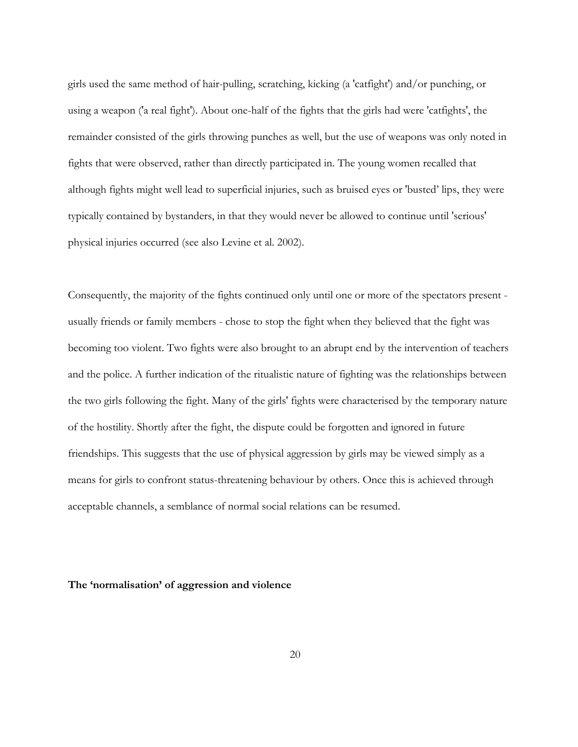girls used the same method of hair-pulling, scratching, kicking (a 'catfight') and/or punching, or using a weapon ('a real fight'). About one-half of the fights that the girls had were 'catfights', the remainder consisted of the girls throwing punches as well, but the use of weapons was only noted in fights that were observed, rather than directly participated in. The young women recalled that although fights might well lead to superficial injuries, such as bruised eyes or 'busted' lips, they were typically contained by bystanders, in that they would never be allowed to continue until 'serious' physical injuries occurred (see also Levine et al. 2002).

Consequently, the majority of the fights continued only until one or more of the spectators present usually friends or family members - chose to stop the fight when they believed that the fight was becoming too violent. Two fights were also brought to an abrupt end by the intervention of teachers and the police. A further indication of the ritualistic nature of fighting was the relationships between the two girls following the fight. Many of the girls' fights were characterised by the temporary nature of the hostility. Shortly after the fight, the dispute could be forgotten and ignored in future friendships. This suggests that the use of physical aggression by girls may be viewed simply as a means for girls to confront status-threatening behaviour by others. Once this is achieved through acceptable channels, a semblance of normal social relations can be resumed.

#### **The 'normalisation' of aggression and violence**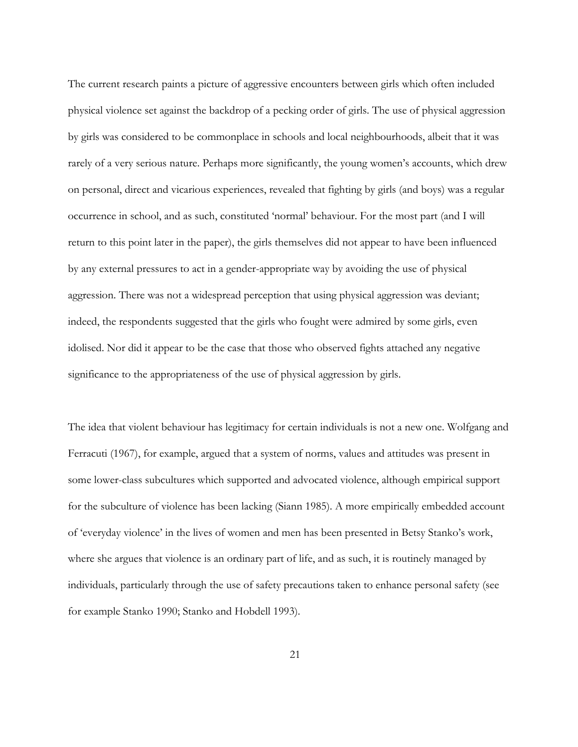The current research paints a picture of aggressive encounters between girls which often included physical violence set against the backdrop of a pecking order of girls. The use of physical aggression by girls was considered to be commonplace in schools and local neighbourhoods, albeit that it was rarely of a very serious nature. Perhaps more significantly, the young women's accounts, which drew on personal, direct and vicarious experiences, revealed that fighting by girls (and boys) was a regular occurrence in school, and as such, constituted 'normal' behaviour. For the most part (and I will return to this point later in the paper), the girls themselves did not appear to have been influenced by any external pressures to act in a gender-appropriate way by avoiding the use of physical aggression. There was not a widespread perception that using physical aggression was deviant; indeed, the respondents suggested that the girls who fought were admired by some girls, even idolised. Nor did it appear to be the case that those who observed fights attached any negative significance to the appropriateness of the use of physical aggression by girls.

The idea that violent behaviour has legitimacy for certain individuals is not a new one. Wolfgang and Ferracuti (1967), for example, argued that a system of norms, values and attitudes was present in some lower-class subcultures which supported and advocated violence, although empirical support for the subculture of violence has been lacking (Siann 1985). A more empirically embedded account of 'everyday violence' in the lives of women and men has been presented in Betsy Stanko's work, where she argues that violence is an ordinary part of life, and as such, it is routinely managed by individuals, particularly through the use of safety precautions taken to enhance personal safety (see for example Stanko 1990; Stanko and Hobdell 1993).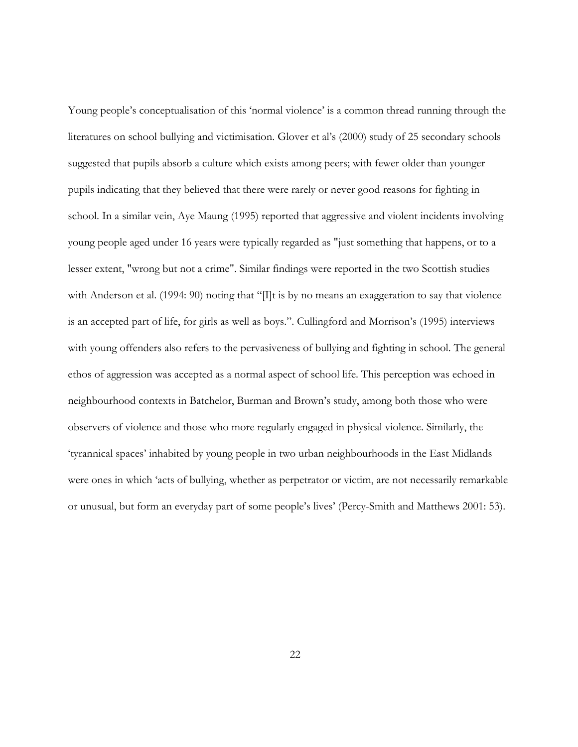Young people's conceptualisation of this 'normal violence' is a common thread running through the literatures on school bullying and victimisation. Glover et al's (2000) study of 25 secondary schools suggested that pupils absorb a culture which exists among peers; with fewer older than younger pupils indicating that they believed that there were rarely or never good reasons for fighting in school. In a similar vein, Aye Maung (1995) reported that aggressive and violent incidents involving young people aged under 16 years were typically regarded as "just something that happens, or to a lesser extent, "wrong but not a crime". Similar findings were reported in the two Scottish studies with Anderson et al. (1994: 90) noting that "[I]t is by no means an exaggeration to say that violence is an accepted part of life, for girls as well as boys.". Cullingford and Morrison's (1995) interviews with young offenders also refers to the pervasiveness of bullying and fighting in school. The general ethos of aggression was accepted as a normal aspect of school life. This perception was echoed in neighbourhood contexts in Batchelor, Burman and Brown's study, among both those who were observers of violence and those who more regularly engaged in physical violence. Similarly, the 'tyrannical spaces' inhabited by young people in two urban neighbourhoods in the East Midlands were ones in which 'acts of bullying, whether as perpetrator or victim, are not necessarily remarkable or unusual, but form an everyday part of some people's lives' (Percy-Smith and Matthews 2001: 53).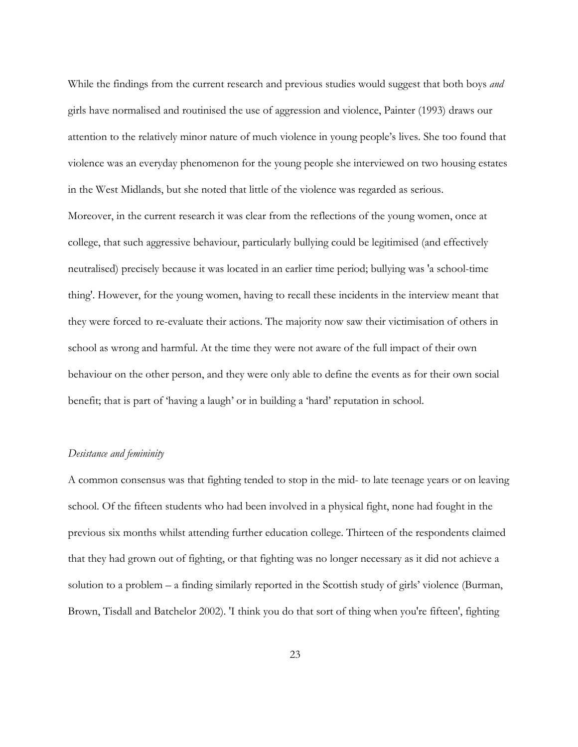While the findings from the current research and previous studies would suggest that both boys *and* girls have normalised and routinised the use of aggression and violence, Painter (1993) draws our attention to the relatively minor nature of much violence in young people's lives. She too found that violence was an everyday phenomenon for the young people she interviewed on two housing estates in the West Midlands, but she noted that little of the violence was regarded as serious. Moreover, in the current research it was clear from the reflections of the young women, once at college, that such aggressive behaviour, particularly bullying could be legitimised (and effectively neutralised) precisely because it was located in an earlier time period; bullying was 'a school-time thing'. However, for the young women, having to recall these incidents in the interview meant that they were forced to re-evaluate their actions. The majority now saw their victimisation of others in school as wrong and harmful. At the time they were not aware of the full impact of their own behaviour on the other person, and they were only able to define the events as for their own social benefit; that is part of 'having a laugh' or in building a 'hard' reputation in school.

#### *Desistance and femininity*

A common consensus was that fighting tended to stop in the mid- to late teenage years or on leaving school. Of the fifteen students who had been involved in a physical fight, none had fought in the previous six months whilst attending further education college. Thirteen of the respondents claimed that they had grown out of fighting, or that fighting was no longer necessary as it did not achieve a solution to a problem – a finding similarly reported in the Scottish study of girls' violence (Burman, Brown, Tisdall and Batchelor 2002). 'I think you do that sort of thing when you're fifteen', fighting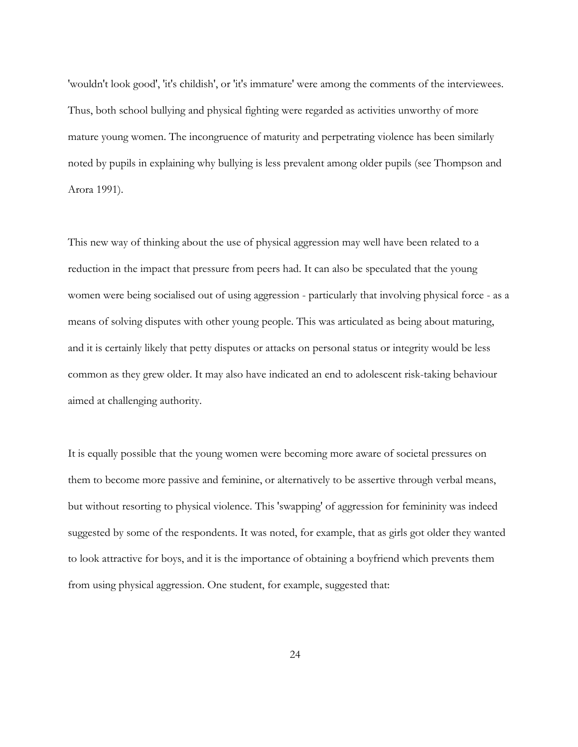'wouldn't look good', 'it's childish', or 'it's immature' were among the comments of the interviewees. Thus, both school bullying and physical fighting were regarded as activities unworthy of more mature young women. The incongruence of maturity and perpetrating violence has been similarly noted by pupils in explaining why bullying is less prevalent among older pupils (see Thompson and Arora 1991).

This new way of thinking about the use of physical aggression may well have been related to a reduction in the impact that pressure from peers had. It can also be speculated that the young women were being socialised out of using aggression - particularly that involving physical force - as a means of solving disputes with other young people. This was articulated as being about maturing, and it is certainly likely that petty disputes or attacks on personal status or integrity would be less common as they grew older. It may also have indicated an end to adolescent risk-taking behaviour aimed at challenging authority.

It is equally possible that the young women were becoming more aware of societal pressures on them to become more passive and feminine, or alternatively to be assertive through verbal means, but without resorting to physical violence. This 'swapping' of aggression for femininity was indeed suggested by some of the respondents. It was noted, for example, that as girls got older they wanted to look attractive for boys, and it is the importance of obtaining a boyfriend which prevents them from using physical aggression. One student, for example, suggested that: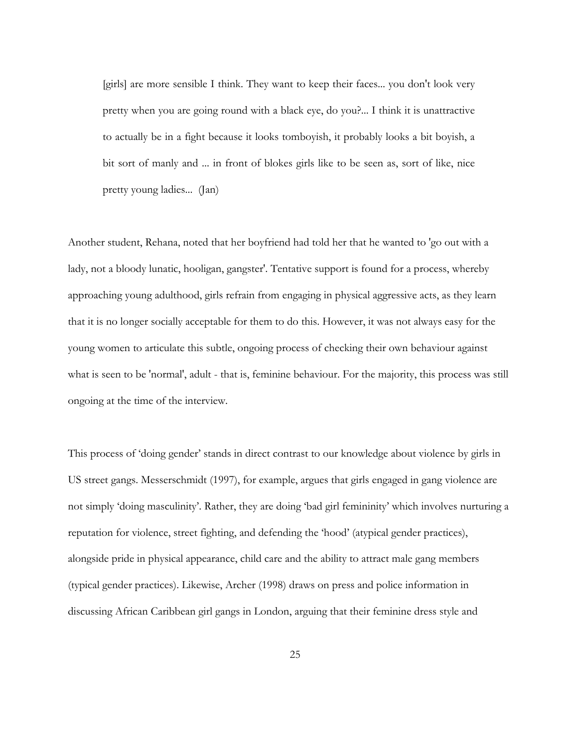[girls] are more sensible I think. They want to keep their faces... you don't look very pretty when you are going round with a black eye, do you?... I think it is unattractive to actually be in a fight because it looks tomboyish, it probably looks a bit boyish, a bit sort of manly and ... in front of blokes girls like to be seen as, sort of like, nice pretty young ladies...(Jan)

Another student, Rehana, noted that her boyfriend had told her that he wanted to 'go out with a lady, not a bloody lunatic, hooligan, gangster'. Tentative support is found for a process, whereby approaching young adulthood, girls refrain from engaging in physical aggressive acts, as they learn that it is no longer socially acceptable for them to do this. However, it was not always easy for the young women to articulate this subtle, ongoing process of checking their own behaviour against what is seen to be 'normal', adult - that is, feminine behaviour. For the majority, this process was still ongoing at the time of the interview.

This process of 'doing gender' stands in direct contrast to our knowledge about violence by girls in US street gangs. Messerschmidt (1997), for example, argues that girls engaged in gang violence are not simply 'doing masculinity'. Rather, they are doing 'bad girl femininity' which involves nurturing a reputation for violence, street fighting, and defending the 'hood' (atypical gender practices), alongside pride in physical appearance, child care and the ability to attract male gang members (typical gender practices). Likewise, Archer (1998) draws on press and police information in discussing African Caribbean girl gangs in London, arguing that their feminine dress style and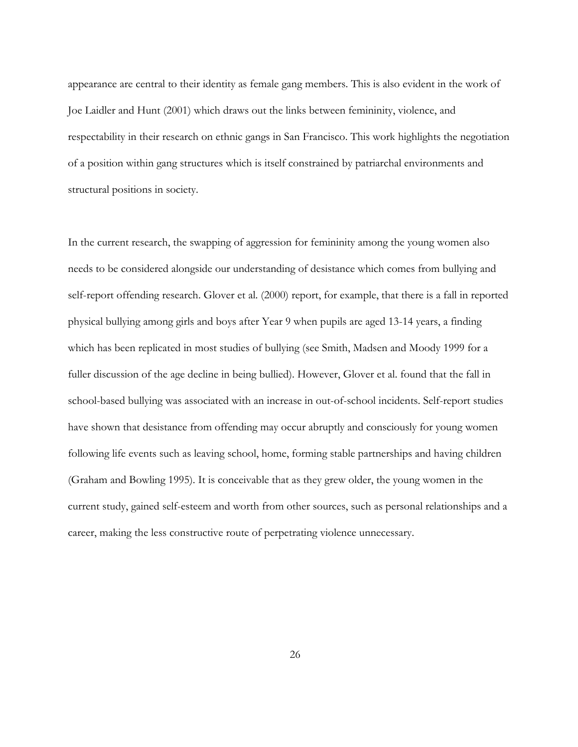appearance are central to their identity as female gang members. This is also evident in the work of Joe Laidler and Hunt (2001) which draws out the links between femininity, violence, and respectability in their research on ethnic gangs in San Francisco. This work highlights the negotiation of a position within gang structures which is itself constrained by patriarchal environments and structural positions in society.

In the current research, the swapping of aggression for femininity among the young women also needs to be considered alongside our understanding of desistance which comes from bullying and self-report offending research. Glover et al. (2000) report, for example, that there is a fall in reported physical bullying among girls and boys after Year 9 when pupils are aged 13-14 years, a finding which has been replicated in most studies of bullying (see Smith, Madsen and Moody 1999 for a fuller discussion of the age decline in being bullied). However, Glover et al. found that the fall in school-based bullying was associated with an increase in out-of-school incidents. Self-report studies have shown that desistance from offending may occur abruptly and consciously for young women following life events such as leaving school, home, forming stable partnerships and having children (Graham and Bowling 1995). It is conceivable that as they grew older, the young women in the current study, gained self-esteem and worth from other sources, such as personal relationships and a career, making the less constructive route of perpetrating violence unnecessary.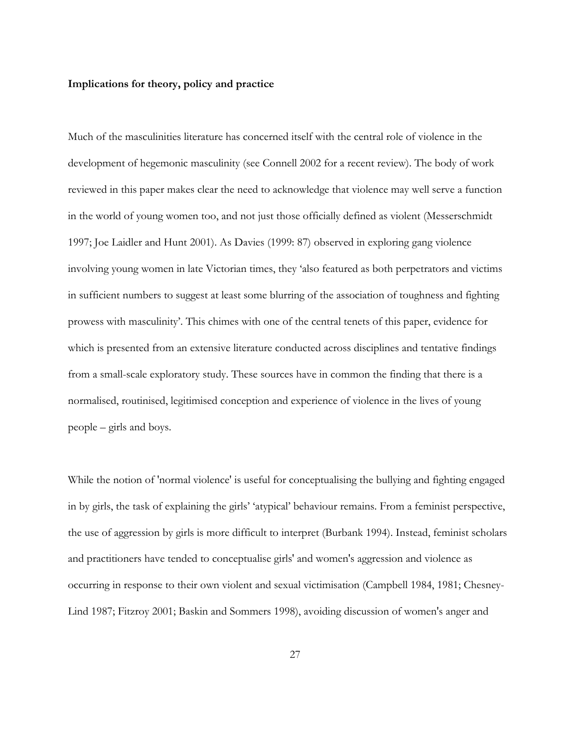#### **Implications for theory, policy and practice**

Much of the masculinities literature has concerned itself with the central role of violence in the development of hegemonic masculinity (see Connell 2002 for a recent review). The body of work reviewed in this paper makes clear the need to acknowledge that violence may well serve a function in the world of young women too, and not just those officially defined as violent (Messerschmidt 1997; Joe Laidler and Hunt 2001). As Davies (1999: 87) observed in exploring gang violence involving young women in late Victorian times, they 'also featured as both perpetrators and victims in sufficient numbers to suggest at least some blurring of the association of toughness and fighting prowess with masculinity'. This chimes with one of the central tenets of this paper, evidence for which is presented from an extensive literature conducted across disciplines and tentative findings from a small-scale exploratory study. These sources have in common the finding that there is a normalised, routinised, legitimised conception and experience of violence in the lives of young people – girls and boys.

While the notion of 'normal violence' is useful for conceptualising the bullying and fighting engaged in by girls, the task of explaining the girls' 'atypical' behaviour remains. From a feminist perspective, the use of aggression by girls is more difficult to interpret (Burbank 1994). Instead, feminist scholars and practitioners have tended to conceptualise girls' and women's aggression and violence as occurring in response to their own violent and sexual victimisation (Campbell 1984, 1981; Chesney-Lind 1987; Fitzroy 2001; Baskin and Sommers 1998), avoiding discussion of women's anger and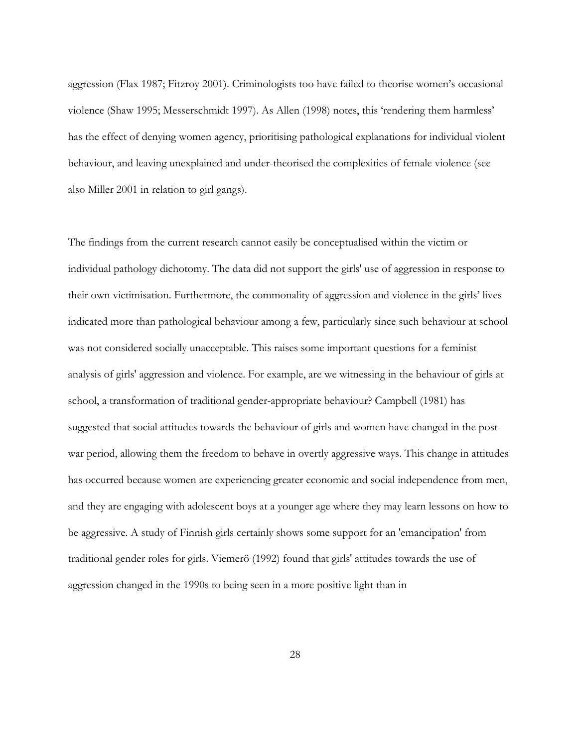aggression (Flax 1987; Fitzroy 2001). Criminologists too have failed to theorise women's occasional violence (Shaw 1995; Messerschmidt 1997). As Allen (1998) notes, this 'rendering them harmless' has the effect of denying women agency, prioritising pathological explanations for individual violent behaviour, and leaving unexplained and under-theorised the complexities of female violence (see also Miller 2001 in relation to girl gangs).

The findings from the current research cannot easily be conceptualised within the victim or individual pathology dichotomy. The data did not support the girls' use of aggression in response to their own victimisation. Furthermore, the commonality of aggression and violence in the girls' lives indicated more than pathological behaviour among a few, particularly since such behaviour at school was not considered socially unacceptable. This raises some important questions for a feminist analysis of girls' aggression and violence. For example, are we witnessing in the behaviour of girls at school, a transformation of traditional gender-appropriate behaviour? Campbell (1981) has suggested that social attitudes towards the behaviour of girls and women have changed in the postwar period, allowing them the freedom to behave in overtly aggressive ways. This change in attitudes has occurred because women are experiencing greater economic and social independence from men, and they are engaging with adolescent boys at a younger age where they may learn lessons on how to be aggressive. A study of Finnish girls certainly shows some support for an 'emancipation' from traditional gender roles for girls. Viemerö (1992) found that girls' attitudes towards the use of aggression changed in the 1990s to being seen in a more positive light than in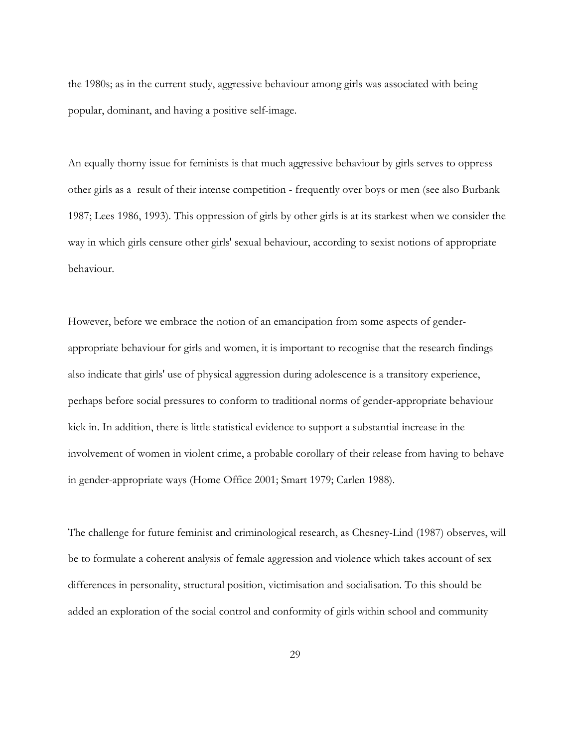the 1980s; as in the current study, aggressive behaviour among girls was associated with being popular, dominant, and having a positive self-image.

An equally thorny issue for feminists is that much aggressive behaviour by girls serves to oppress other girls as a result of their intense competition - frequently over boys or men (see also Burbank 1987; Lees 1986, 1993). This oppression of girls by other girls is at its starkest when we consider the way in which girls censure other girls' sexual behaviour, according to sexist notions of appropriate behaviour.

However, before we embrace the notion of an emancipation from some aspects of genderappropriate behaviour for girls and women, it is important to recognise that the research findings also indicate that girls' use of physical aggression during adolescence is a transitory experience, perhaps before social pressures to conform to traditional norms of gender-appropriate behaviour kick in. In addition, there is little statistical evidence to support a substantial increase in the involvement of women in violent crime, a probable corollary of their release from having to behave in gender-appropriate ways (Home Office 2001; Smart 1979; Carlen 1988).

The challenge for future feminist and criminological research, as Chesney-Lind (1987) observes, will be to formulate a coherent analysis of female aggression and violence which takes account of sex differences in personality, structural position, victimisation and socialisation. To this should be added an exploration of the social control and conformity of girls within school and community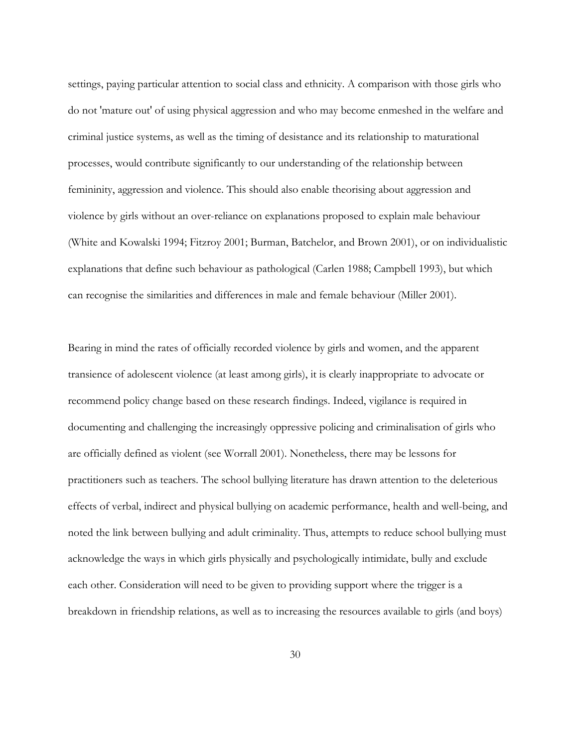settings, paying particular attention to social class and ethnicity. A comparison with those girls who do not 'mature out' of using physical aggression and who may become enmeshed in the welfare and criminal justice systems, as well as the timing of desistance and its relationship to maturational processes, would contribute significantly to our understanding of the relationship between femininity, aggression and violence. This should also enable theorising about aggression and violence by girls without an over-reliance on explanations proposed to explain male behaviour (White and Kowalski 1994; Fitzroy 2001; Burman, Batchelor, and Brown 2001), or on individualistic explanations that define such behaviour as pathological (Carlen 1988; Campbell 1993), but which can recognise the similarities and differences in male and female behaviour (Miller 2001).

Bearing in mind the rates of officially recorded violence by girls and women, and the apparent transience of adolescent violence (at least among girls), it is clearly inappropriate to advocate or recommend policy change based on these research findings. Indeed, vigilance is required in documenting and challenging the increasingly oppressive policing and criminalisation of girls who are officially defined as violent (see Worrall 2001). Nonetheless, there may be lessons for practitioners such as teachers. The school bullying literature has drawn attention to the deleterious effects of verbal, indirect and physical bullying on academic performance, health and well-being, and noted the link between bullying and adult criminality. Thus, attempts to reduce school bullying must acknowledge the ways in which girls physically and psychologically intimidate, bully and exclude each other. Consideration will need to be given to providing support where the trigger is a breakdown in friendship relations, as well as to increasing the resources available to girls (and boys)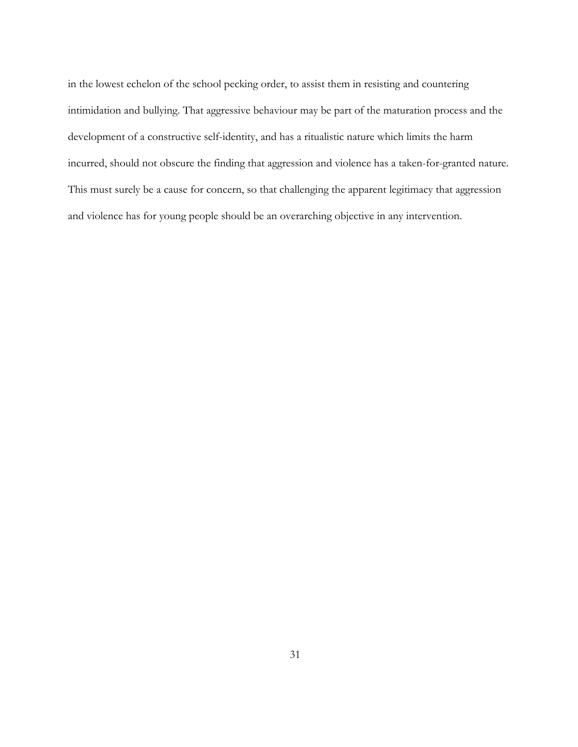in the lowest echelon of the school pecking order, to assist them in resisting and countering intimidation and bullying. That aggressive behaviour may be part of the maturation process and the development of a constructive self-identity, and has a ritualistic nature which limits the harm incurred, should not obscure the finding that aggression and violence has a taken-for-granted nature. This must surely be a cause for concern, so that challenging the apparent legitimacy that aggression and violence has for young people should be an overarching objective in any intervention.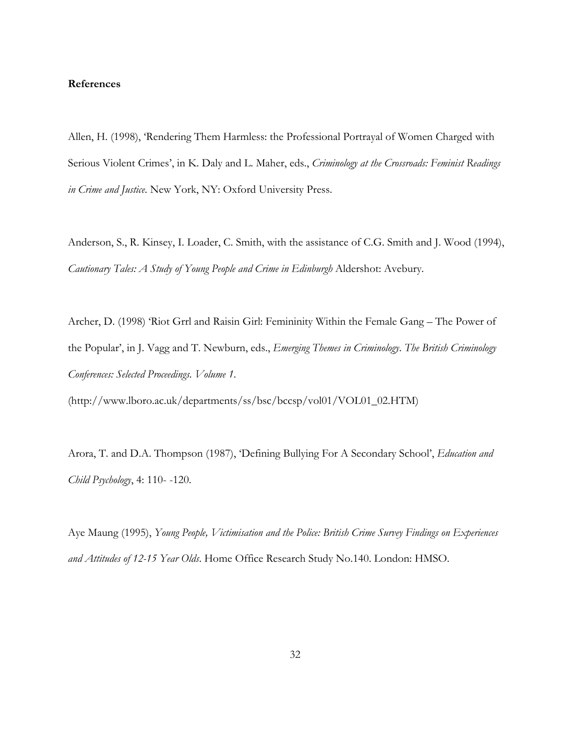#### **References**

Allen, H. (1998), 'Rendering Them Harmless: the Professional Portrayal of Women Charged with Serious Violent Crimes', in K. Daly and L. Maher, eds., *Criminology at the Crossroads: Feminist Readings in Crime and Justice*. New York, NY: Oxford University Press.

Anderson, S., R. Kinsey, I. Loader, C. Smith, with the assistance of C.G. Smith and J. Wood (1994), *Cautionary Tales: A Study of Young People and Crime in Edinburgh* Aldershot: Avebury.

Archer, D. (1998) 'Riot Grrl and Raisin Girl: Femininity Within the Female Gang – The Power of the Popular', in J. Vagg and T. Newburn, eds., *Emerging Themes in Criminology*. *The British Criminology Conferences: Selected Proceedings. Volume 1*.

(http://www.lboro.ac.uk/departments/ss/bsc/bccsp/vol01/VOL01\_02.HTM)

Arora, T. and D.A. Thompson (1987), 'Defining Bullying For A Secondary School', *Education and Child Psychology*, 4: 110- -120.

Aye Maung (1995), *Young People, Victimisation and the Police: British Crime Survey Findings on Experiences and Attitudes of 12-15 Year Olds*. Home Office Research Study No.140. London: HMSO.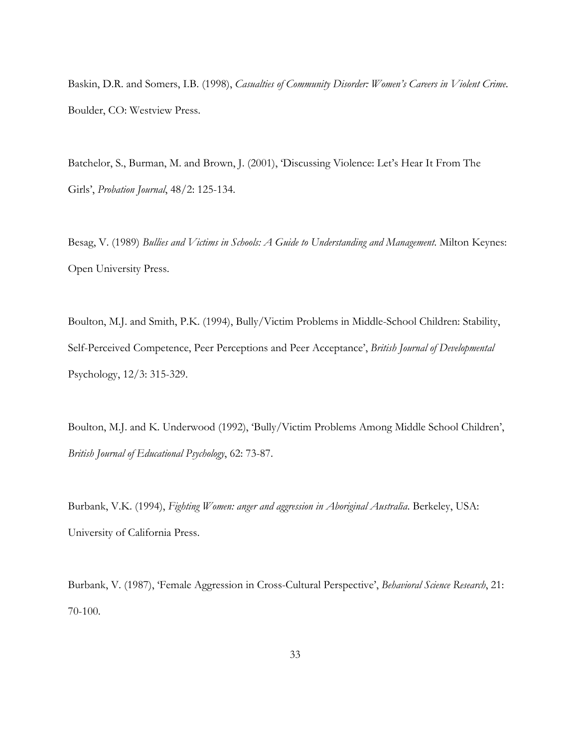Baskin, D.R. and Somers, I.B. (1998), *Casualties of Community Disorder: Women's Careers in Violent Crime*. Boulder, CO: Westview Press.

Batchelor, S., Burman, M. and Brown, J. (2001), 'Discussing Violence: Let's Hear It From The Girls', *Probation Journal*, 48/2: 125-134.

Besag, V. (1989) *Bullies and Victims in Schools: A Guide to Understanding and Management*. Milton Keynes: Open University Press.

Boulton, M.J. and Smith, P.K. (1994), Bully/Victim Problems in Middle-School Children: Stability, Self-Perceived Competence, Peer Perceptions and Peer Acceptance', *British Journal of Developmental*  Psychology, 12/3: 315-329.

Boulton, M.J. and K. Underwood (1992), 'Bully/Victim Problems Among Middle School Children', *British Journal of Educational Psychology*, 62: 73-87.

Burbank, V.K. (1994), *Fighting Women: anger and aggression in Aboriginal Australia*. Berkeley, USA: University of California Press.

Burbank, V. (1987), 'Female Aggression in Cross-Cultural Perspective', *Behavioral Science Research*, 21: 70-100.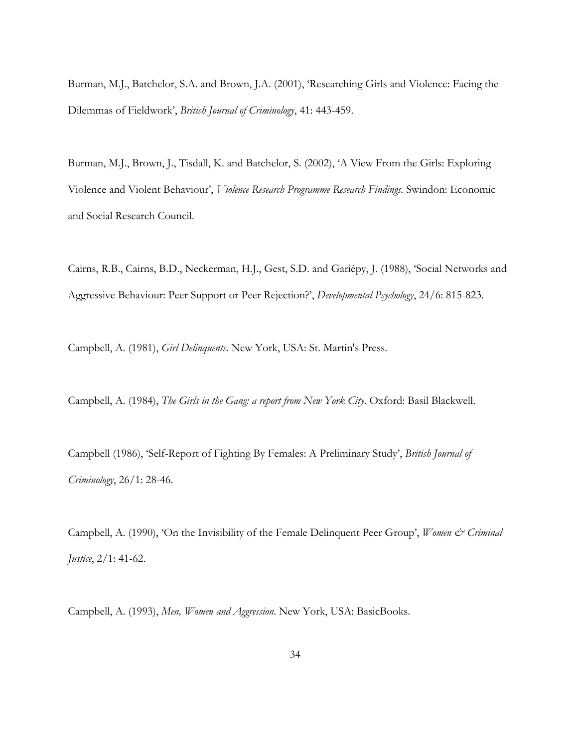Burman, M.J., Batchelor, S.A. and Brown, J.A. (2001), 'Researching Girls and Violence: Facing the Dilemmas of Fieldwork', *British Journal of Criminology*, 41: 443-459.

Burman, M.J., Brown, J., Tisdall, K. and Batchelor, S. (2002), 'A View From the Girls: Exploring Violence and Violent Behaviour', *Violence Research Programme Research Findings.* Swindon: Economic and Social Research Council.

Cairns, R.B., Cairns, B.D., Neckerman, H.J., Gest, S.D. and Gariépy, J. (1988), 'Social Networks and Aggressive Behaviour: Peer Support or Peer Rejection?', *Developmental Psychology*, 24/6: 815-823.

Campbell, A. (1981), *Girl Delinquents*. New York, USA: St. Martin's Press.

Campbell, A. (1984), *The Girls in the Gang: a report from New York City*. Oxford: Basil Blackwell.

Campbell (1986), 'Self-Report of Fighting By Females: A Preliminary Study', *British Journal of Criminology*, 26/1: 28-46.

Campbell, A. (1990), 'On the Invisibility of the Female Delinquent Peer Group', *Women & Criminal Justice*, 2/1: 41-62.

Campbell, A. (1993), *Men, Women and Aggression*. New York, USA: BasicBooks.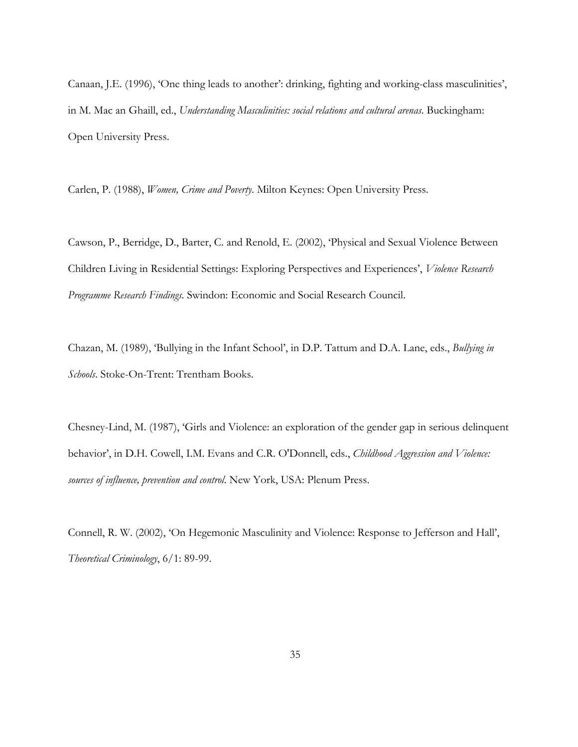Canaan, J.E. (1996), 'One thing leads to another': drinking, fighting and working-class masculinities', in M. Mac an Ghaill, ed., *Understanding Masculinities: social relations and cultural arenas*. Buckingham: Open University Press.

Carlen, P. (1988), *Women, Crime and Poverty*. Milton Keynes: Open University Press.

Cawson, P., Berridge, D., Barter, C. and Renold, E. (2002), 'Physical and Sexual Violence Between Children Living in Residential Settings: Exploring Perspectives and Experiences', *Violence Research Programme Research Findings.* Swindon: Economic and Social Research Council.

Chazan, M. (1989), 'Bullying in the Infant School', in D.P. Tattum and D.A. Lane, eds., *Bullying in Schools*. Stoke-On-Trent: Trentham Books.

Chesney-Lind, M. (1987), 'Girls and Violence: an exploration of the gender gap in serious delinquent behavior', in D.H. Cowell, I.M. Evans and C.R. O'Donnell, eds., *Childhood Aggression and Violence: sources of influence, prevention and control*. New York, USA: Plenum Press.

Connell, R. W. (2002), 'On Hegemonic Masculinity and Violence: Response to Jefferson and Hall', *Theoretical Criminology*, 6/1: 89-99.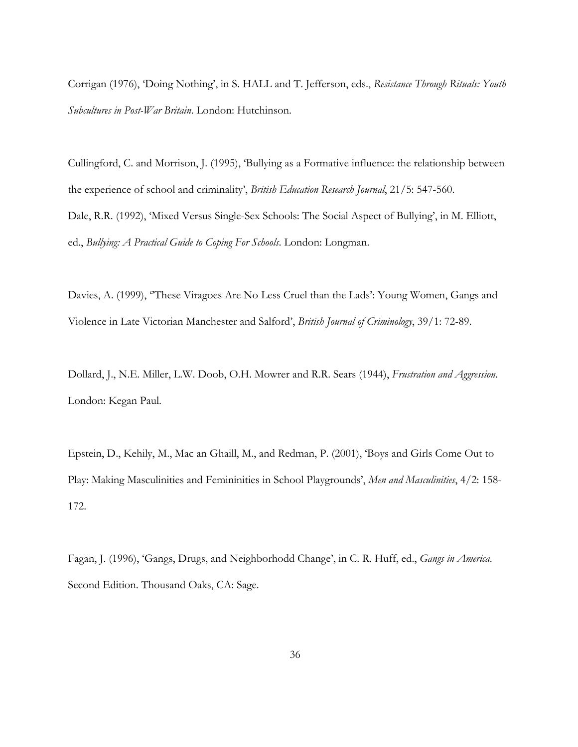Corrigan (1976), 'Doing Nothing', in S. HALL and T. Jefferson, eds., *Resistance Through Rituals: Youth Subcultures in Post-War Britain*. London: Hutchinson.

Cullingford, C. and Morrison, J. (1995), 'Bullying as a Formative influence: the relationship between the experience of school and criminality', *British Education Research Journal*, 21/5: 547-560. Dale, R.R. (1992), 'Mixed Versus Single-Sex Schools: The Social Aspect of Bullying', in M. Elliott, ed., *Bullying: A Practical Guide to Coping For Schools*. London: Longman.

Davies, A. (1999), ''These Viragoes Are No Less Cruel than the Lads': Young Women, Gangs and Violence in Late Victorian Manchester and Salford', *British Journal of Criminology*, 39/1: 72-89.

Dollard, J., N.E. Miller, L.W. Doob, O.H. Mowrer and R.R. Sears (1944), *Frustration and Aggression*. London: Kegan Paul.

Epstein, D., Kehily, M., Mac an Ghaill, M., and Redman, P. (2001), 'Boys and Girls Come Out to Play: Making Masculinities and Femininities in School Playgrounds', *Men and Masculinities*, 4/2: 158- 172.

Fagan, J. (1996), 'Gangs, Drugs, and Neighborhodd Change', in C. R. Huff, ed., *Gangs in America*. Second Edition. Thousand Oaks, CA: Sage.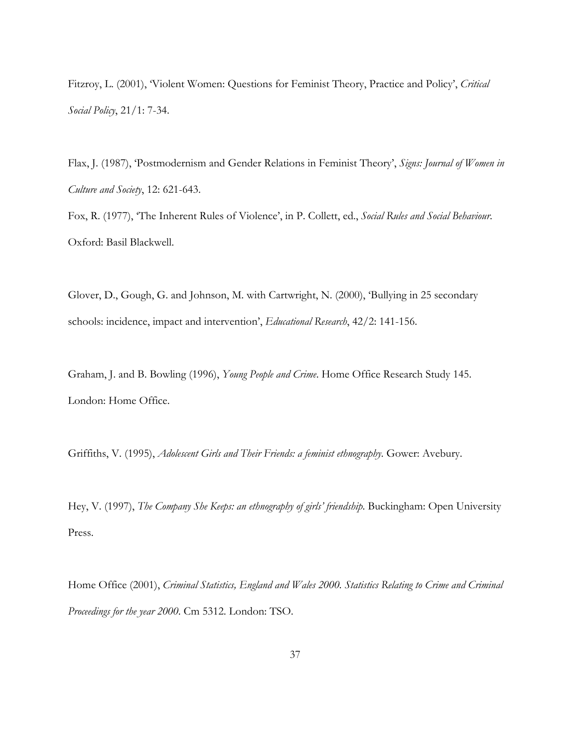Fitzroy, L. (2001), 'Violent Women: Questions for Feminist Theory, Practice and Policy', *Critical Social Policy*, 21/1: 7-34.

Flax, J. (1987), 'Postmodernism and Gender Relations in Feminist Theory', *Signs: Journal of Women in Culture and Society*, 12: 621-643.

Fox, R. (1977), 'The Inherent Rules of Violence', in P. Collett, ed., *Social Rules and Social Behaviour*. Oxford: Basil Blackwell.

Glover, D., Gough, G. and Johnson, M. with Cartwright, N. (2000), 'Bullying in 25 secondary schools: incidence, impact and intervention', *Educational Research*, 42/2: 141-156.

Graham, J. and B. Bowling (1996), *Young People and Crime*. Home Office Research Study 145. London: Home Office.

Griffiths, V. (1995), *Adolescent Girls and Their Friends: a feminist ethnography*. Gower: Avebury.

Hey, V. (1997), *The Company She Keeps: an ethnography of girls' friendship*. Buckingham: Open University Press.

Home Office (2001), *Criminal Statistics, England and Wales 2000. Statistics Relating to Crime and Criminal Proceedings for the year 2000*. Cm 5312. London: TSO.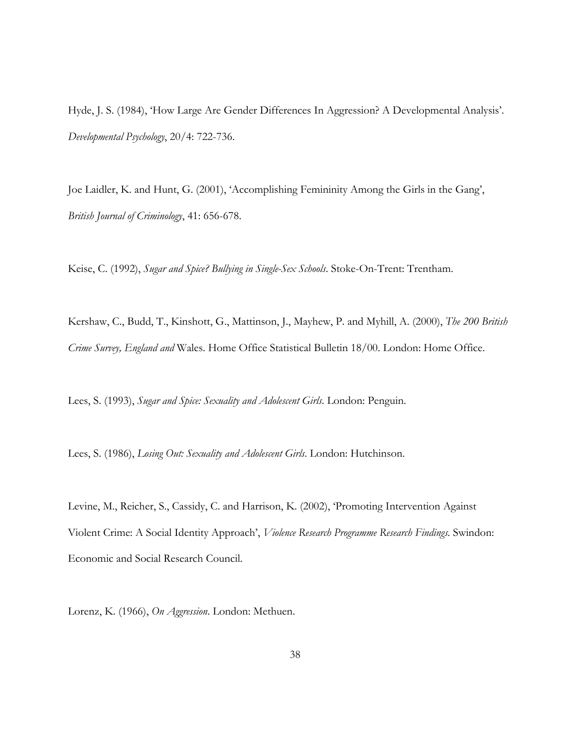Hyde, J. S. (1984), 'How Large Are Gender Differences In Aggression? A Developmental Analysis'. *Developmental Psychology*, 20/4: 722-736.

Joe Laidler, K. and Hunt, G. (2001), 'Accomplishing Femininity Among the Girls in the Gang', *British Journal of Criminology*, 41: 656-678.

Keise, C. (1992), *Sugar and Spice? Bullying in Single-Sex Schools*. Stoke-On-Trent: Trentham.

Kershaw, C., Budd, T., Kinshott, G., Mattinson, J., Mayhew, P. and Myhill, A. (2000), *The 200 British Crime Survey, England and* Wales. Home Office Statistical Bulletin 18/00. London: Home Office.

Lees, S. (1993), *Sugar and Spice: Sexuality and Adolescent Girls*. London: Penguin.

Lees, S. (1986), *Losing Out: Sexuality and Adolescent Girls*. London: Hutchinson.

Levine, M., Reicher, S., Cassidy, C. and Harrison, K. (2002), 'Promoting Intervention Against Violent Crime: A Social Identity Approach', *Violence Research Programme Research Findings.* Swindon: Economic and Social Research Council.

Lorenz, K. (1966), *On Aggression*. London: Methuen.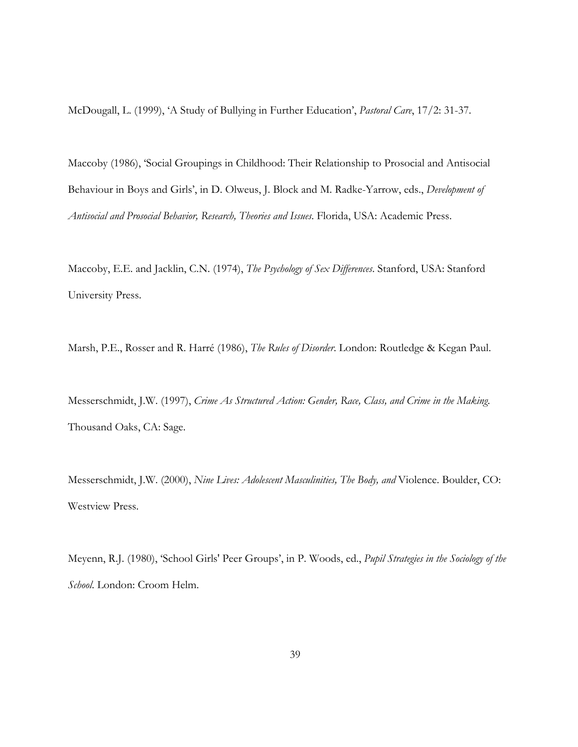McDougall, L. (1999), 'A Study of Bullying in Further Education', *Pastoral Care*, 17/2: 31-37.

Maccoby (1986), 'Social Groupings in Childhood: Their Relationship to Prosocial and Antisocial Behaviour in Boys and Girls', in D. Olweus, J. Block and M. Radke-Yarrow, eds., *Development of Antisocial and Prosocial Behavior, Research, Theories and Issues*. Florida, USA: Academic Press.

Maccoby, E.E. and Jacklin, C.N. (1974), *The Psychology of Sex Differences*. Stanford, USA: Stanford University Press.

Marsh, P.E., Rosser and R. Harré (1986), *The Rules of Disorder*. London: Routledge & Kegan Paul.

Messerschmidt, J.W. (1997), *Crime As Structured Action: Gender, Race, Class, and Crime in the Making*. Thousand Oaks, CA: Sage.

Messerschmidt, J.W. (2000), *Nine Lives: Adolescent Masculinities, The Body, and* Violence. Boulder, CO: Westview Press.

Meyenn, R.J. (1980), 'School Girls' Peer Groups', in P. Woods, ed., *Pupil Strategies in the Sociology of the School*. London: Croom Helm.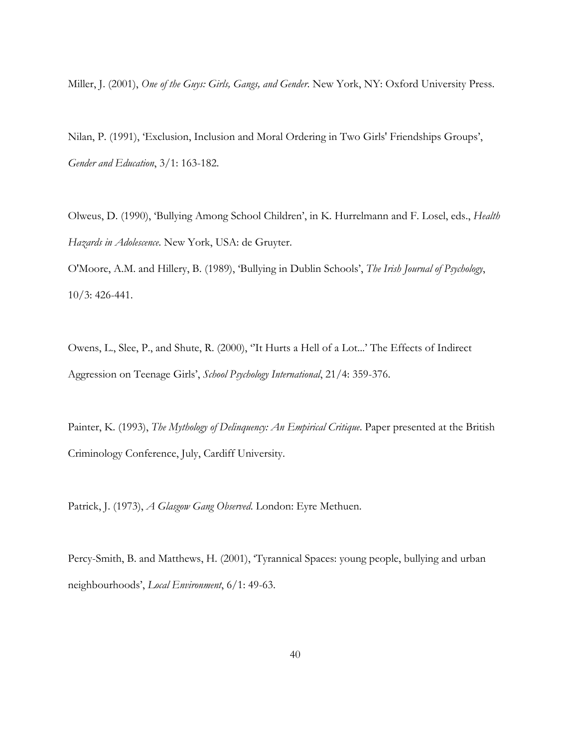Miller, J. (2001), *One of the Guys: Girls, Gangs, and Gender*. New York, NY: Oxford University Press.

Nilan, P. (1991), 'Exclusion, Inclusion and Moral Ordering in Two Girls' Friendships Groups', *Gender and Education*, 3/1: 163-182.

Olweus, D. (1990), 'Bullying Among School Children', in K. Hurrelmann and F. Losel, eds., *Health Hazards in Adolescence*. New York, USA: de Gruyter.

O'Moore, A.M. and Hillery, B. (1989), 'Bullying in Dublin Schools', *The Irish Journal of Psychology*, 10/3: 426-441.

Owens, L., Slee, P., and Shute, R. (2000), ''It Hurts a Hell of a Lot...' The Effects of Indirect Aggression on Teenage Girls', *School Psychology International*, 21/4: 359-376.

Painter, K. (1993), *The Mythology of Delinquency: An Empirical Critique*. Paper presented at the British Criminology Conference, July, Cardiff University.

Patrick, J. (1973), *A Glasgow Gang Observed*. London: Eyre Methuen.

Percy-Smith, B. and Matthews, H. (2001), 'Tyrannical Spaces: young people, bullying and urban neighbourhoods', *Local Environment*, 6/1: 49-63.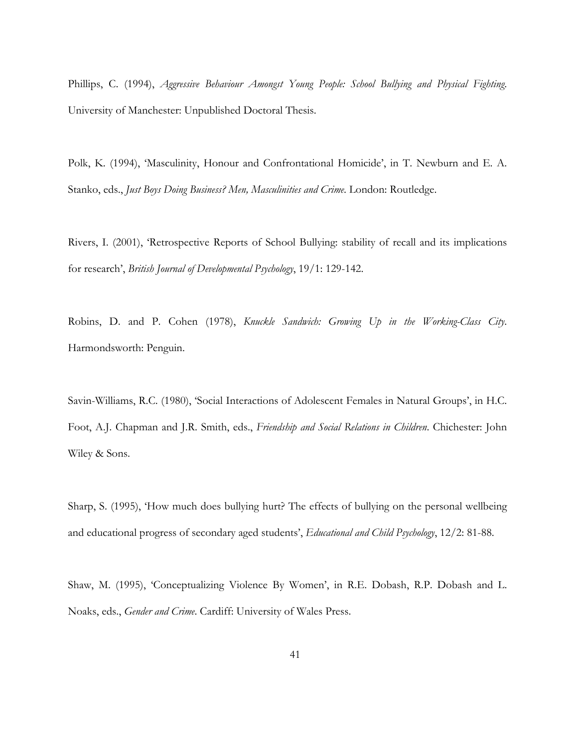Phillips, C. (1994), *Aggressive Behaviour Amongst Young People: School Bullying and Physical Fighting*. University of Manchester: Unpublished Doctoral Thesis.

Polk, K. (1994), 'Masculinity, Honour and Confrontational Homicide', in T. Newburn and E. A. Stanko, eds., *Just Boys Doing Business? Men, Masculinities and Crime*. London: Routledge.

Rivers, I. (2001), 'Retrospective Reports of School Bullying: stability of recall and its implications for research', *British Journal of Developmental Psychology*, 19/1: 129-142.

Robins, D. and P. Cohen (1978), *Knuckle Sandwich: Growing Up in the Working-Class City*. Harmondsworth: Penguin.

Savin-Williams, R.C. (1980), 'Social Interactions of Adolescent Females in Natural Groups', in H.C. Foot, A.J. Chapman and J.R. Smith, eds., *Friendship and Social Relations in Children*. Chichester: John Wiley & Sons.

Sharp, S. (1995), 'How much does bullying hurt? The effects of bullying on the personal wellbeing and educational progress of secondary aged students', *Educational and Child Psychology*, 12/2: 81-88.

Shaw, M. (1995), 'Conceptualizing Violence By Women', in R.E. Dobash, R.P. Dobash and L. Noaks, eds., *Gender and Crime*. Cardiff: University of Wales Press.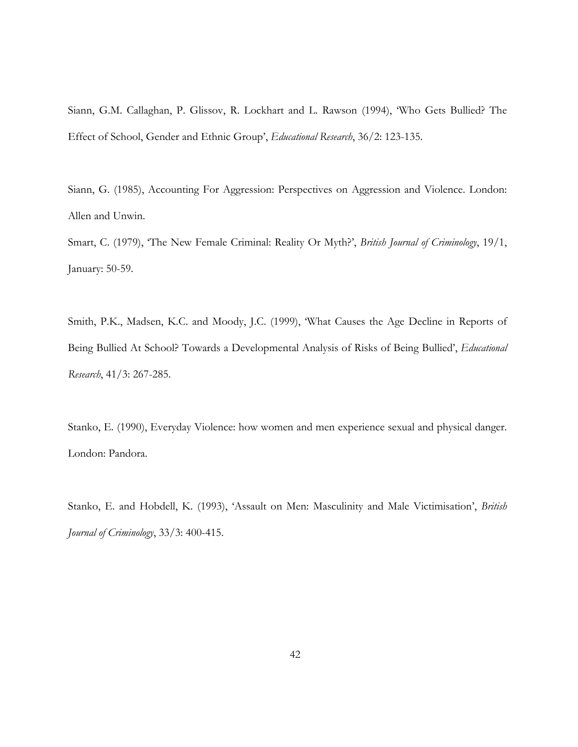Siann, G.M. Callaghan, P. Glissov, R. Lockhart and L. Rawson (1994), 'Who Gets Bullied? The Effect of School, Gender and Ethnic Group', *Educational Research*, 36/2: 123-135.

Siann, G. (1985), Accounting For Aggression: Perspectives on Aggression and Violence. London: Allen and Unwin.

Smart, C. (1979), 'The New Female Criminal: Reality Or Myth?', *British Journal of Criminology*, 19/1, January: 50-59.

Smith, P.K., Madsen, K.C. and Moody, J.C. (1999), 'What Causes the Age Decline in Reports of Being Bullied At School? Towards a Developmental Analysis of Risks of Being Bullied', *Educational Research*, 41/3: 267-285.

Stanko, E. (1990), Everyday Violence: how women and men experience sexual and physical danger. London: Pandora.

Stanko, E. and Hobdell, K. (1993), 'Assault on Men: Masculinity and Male Victimisation', *British Journal of Criminology*, 33/3: 400-415.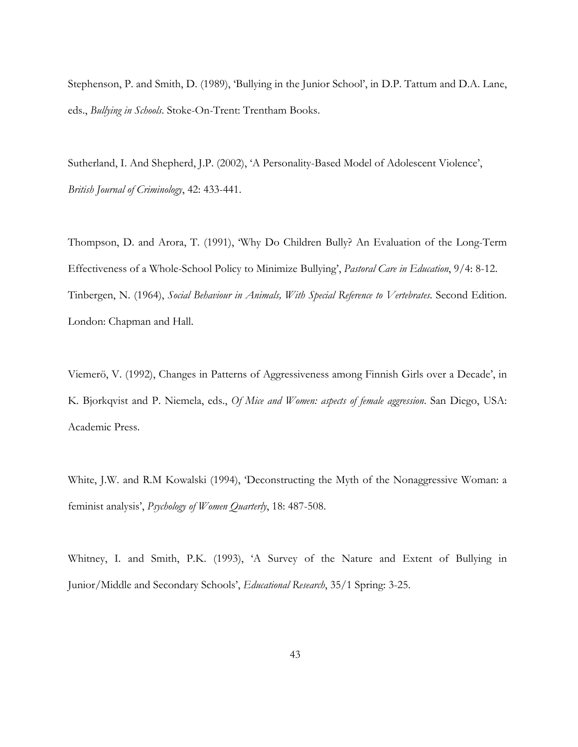Stephenson, P. and Smith, D. (1989), 'Bullying in the Junior School', in D.P. Tattum and D.A. Lane, eds., *Bullying in Schools*. Stoke-On-Trent: Trentham Books.

Sutherland, I. And Shepherd, J.P. (2002), 'A Personality-Based Model of Adolescent Violence', *British Journal of Criminology*, 42: 433-441.

Thompson, D. and Arora, T. (1991), 'Why Do Children Bully? An Evaluation of the Long-Term Effectiveness of a Whole-School Policy to Minimize Bullying', *Pastoral Care in Education*, 9/4: 8-12. Tinbergen, N. (1964), *Social Behaviour in Animals, With Special Reference to Vertebrates*. Second Edition. London: Chapman and Hall.

Viemerö, V. (1992), Changes in Patterns of Aggressiveness among Finnish Girls over a Decade', in K. Bjorkqvist and P. Niemela, eds., *Of Mice and Women: aspects of female aggression*. San Diego, USA: Academic Press.

White, J.W. and R.M Kowalski (1994), 'Deconstructing the Myth of the Nonaggressive Woman: a feminist analysis', *Psychology of Women Quarterly*, 18: 487-508.

Whitney, I. and Smith, P.K. (1993), 'A Survey of the Nature and Extent of Bullying in Junior/Middle and Secondary Schools', *Educational Research*, 35/1 Spring: 3-25.